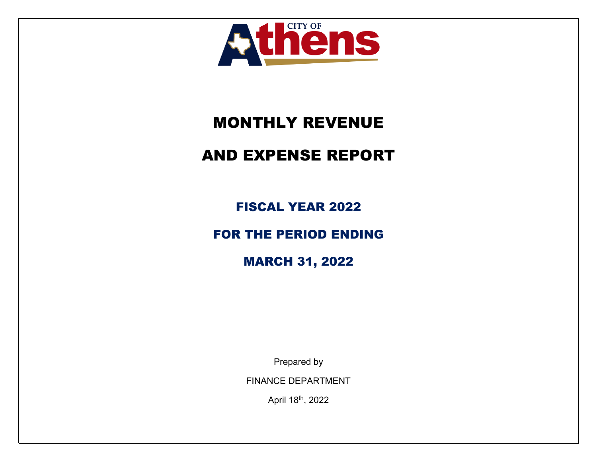

# MONTHLY REVENUE

# AND EXPENSE REPORT

FISCAL YEAR 2022

FOR THE PERIOD ENDING

MARCH 31, 2022

Prepared by

FINANCE DEPARTMENT

April 18th, 2022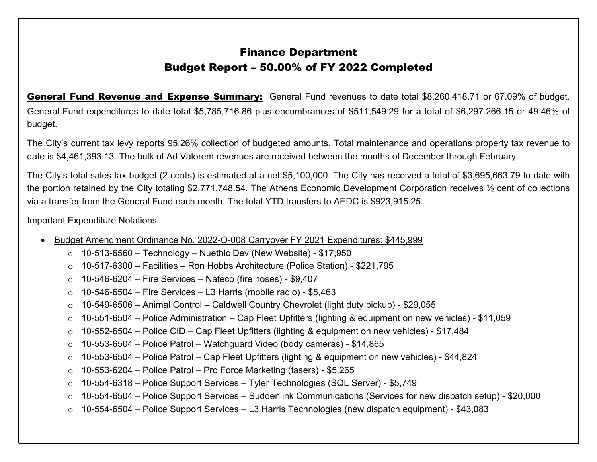General Fund Revenue and Expense Summary: General Fund revenues to date total \$8,260,418.71 or 67.09% of budget. General Fund expenditures to date total \$5,785,716.86 plus encumbrances of \$511,549.29 for a total of \$6,297,266.15 or 49.46% of budget.

The City's current tax levy reports 95.26% collection of budgeted amounts. Total maintenance and operations property tax revenue to date is \$4,461,393.13. The bulk of Ad Valorem revenues are received between the months of December through February.

The City's total sales tax budget (2 cents) is estimated at a net \$5,100,000. The City has received a total of \$3,695,663.79 to date with the portion retained by the City totaling \$2,771,748.54. The Athens Economic Development Corporation receives ½ cent of collections via a transfer from the General Fund each month. The total YTD transfers to AEDC is \$923,915.25.

Important Expenditure Notations:

- Budget Amendment Ordinance No. 2022-O-008 Carryover FY 2021 Expenditures: \$445,999
	- $\circ$  10-513-6560 Technology Nuethic Dev (New Website) \$17,950
	- <sup>o</sup> 10-517-6300 Facilities Ron Hobbs Architecture (Police Station) \$221,795
	- $\circ$  10-546-6204 Fire Services Nafeco (fire hoses) \$9,407
	- $\circ$  10-546-6504 Fire Services L3 Harris (mobile radio) \$5,463
	- <sup>o</sup> 10-549-6506 Animal Control Caldwell Country Chevrolet (light duty pickup) \$29,055
	- <sup>o</sup> 10-551-6504 Police Administration Cap Fleet Upfitters (lighting & equipment on new vehicles) \$11,059
	- $\circ$  10-552-6504 Police CID Cap Fleet Upfitters (lighting & equipment on new vehicles) \$17,484
	- $\circ$  10-553-6504 Police Patrol Watchguard Video (body cameras) \$14,865
	- <sup>o</sup> 10-553-6504 Police Patrol Cap Fleet Upfitters (lighting & equipment on new vehicles) \$44,824
	- $\circ$  10-553-6204 Police Patrol Pro Force Marketing (tasers) \$5,265
	- <sup>o</sup> 10-554-6318 Police Support Services Tyler Technologies (SQL Server) \$5,749
	- <sup>o</sup> 10-554-6504 Police Support Services Suddenlink Communications (Services for new dispatch setup) \$20,000
	- o 10-554-6504 Police Support Services L3 Harris Technologies (new dispatch equipment) \$43,083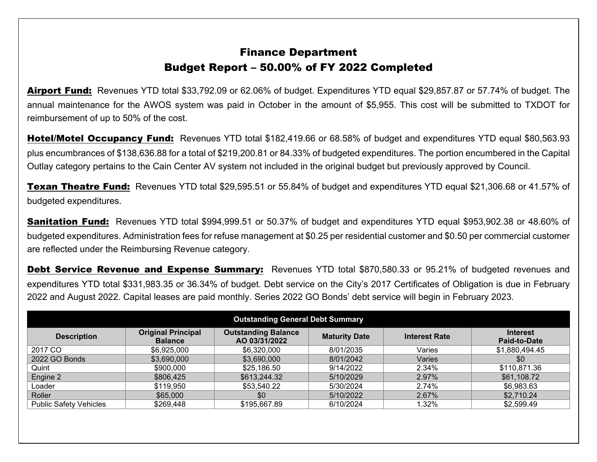Airport Fund: Revenues YTD total \$33,792.09 or 62.06% of budget. Expenditures YTD equal \$29,857.87 or 57.74% of budget. The annual maintenance for the AWOS system was paid in October in the amount of \$5,955. This cost will be submitted to TXDOT for reimbursement of up to 50% of the cost.

Hotel/Motel Occupancy Fund: Revenues YTD total \$182,419.66 or 68.58% of budget and expenditures YTD equal \$80,563.93 plus encumbrances of \$138,636.88 for a total of \$219,200.81 or 84.33% of budgeted expenditures. The portion encumbered in the Capital Outlay category pertains to the Cain Center AV system not included in the original budget but previously approved by Council.

**Texan Theatre Fund:** Revenues YTD total \$29,595.51 or 55.84% of budget and expenditures YTD equal \$21,306.68 or 41.57% of budgeted expenditures.

**Sanitation Fund:** Revenues YTD total \$994,999.51 or 50.37% of budget and expenditures YTD equal \$953,902.38 or 48.60% of budgeted expenditures. Administration fees for refuse management at \$0.25 per residential customer and \$0.50 per commercial customer are reflected under the Reimbursing Revenue category.

Debt Service Revenue and Expense Summary: Revenues YTD total \$870,580.33 or 95.21% of budgeted revenues and expenditures YTD total \$331,983.35 or 36.34% of budget. Debt service on the City's 2017 Certificates of Obligation is due in February 2022 and August 2022. Capital leases are paid monthly. Series 2022 GO Bonds' debt service will begin in February 2023.

| <b>Outstanding General Debt Summary</b> |                                             |                                             |                      |                      |                                 |  |  |  |  |
|-----------------------------------------|---------------------------------------------|---------------------------------------------|----------------------|----------------------|---------------------------------|--|--|--|--|
| <b>Description</b>                      | <b>Original Principal</b><br><b>Balance</b> | <b>Outstanding Balance</b><br>AO 03/31/2022 | <b>Maturity Date</b> | <b>Interest Rate</b> | <b>Interest</b><br>Paid-to-Date |  |  |  |  |
| 2017 CO                                 | \$6,925,000                                 | \$6,320,000                                 | 8/01/2035            | Varies               | \$1,880,494.45                  |  |  |  |  |
| 2022 GO Bonds                           | \$3,690,000                                 | \$3,690,000                                 | 8/01/2042            | Varies               | \$0                             |  |  |  |  |
| Quint                                   | \$900,000                                   | \$25,186.50                                 | 9/14/2022            | 2.34%                | \$110,871.36                    |  |  |  |  |
| Engine 2                                | \$806,425                                   | \$613,244.32                                | 5/10/2029            | 2.97%                | \$61,108.72                     |  |  |  |  |
| Loader                                  | \$119,950                                   | \$53,540.22                                 | 5/30/2024            | 2.74%                | \$6,983.63                      |  |  |  |  |
| Roller                                  | \$65,000                                    | \$0                                         | 5/10/2022            | 2.67%                | \$2,710.24                      |  |  |  |  |
| <b>Public Safety Vehicles</b>           | \$269,448                                   | \$195,667.89                                | 6/10/2024            | 1.32%                | \$2,599.49                      |  |  |  |  |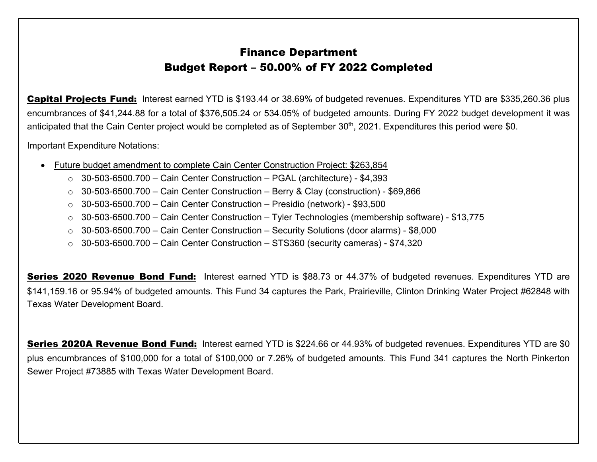Capital Projects Fund: Interest earned YTD is \$193.44 or 38.69% of budgeted revenues. Expenditures YTD are \$335,260.36 plus encumbrances of \$41,244.88 for a total of \$376,505.24 or 534.05% of budgeted amounts. During FY 2022 budget development it was anticipated that the Cain Center project would be completed as of September 30<sup>th</sup>, 2021. Expenditures this period were \$0.

Important Expenditure Notations:

- Future budget amendment to complete Cain Center Construction Project: \$263,854
	- $\circ$  30-503-6500.700 Cain Center Construction PGAL (architecture) \$4,393
	- $\circ$  30-503-6500.700 Cain Center Construction Berry & Clay (construction) \$69,866
	- $\circ$  30-503-6500.700 Cain Center Construction Presidio (network) \$93,500
	- <sup>o</sup> 30-503-6500.700 Cain Center Construction Tyler Technologies (membership software) \$13,775
	- <sup>o</sup> 30-503-6500.700 Cain Center Construction Security Solutions (door alarms) \$8,000
	- $\circ$  30-503-6500.700 Cain Center Construction STS360 (security cameras) \$74,320

Series 2020 Revenue Bond Fund: Interest earned YTD is \$88.73 or 44.37% of budgeted revenues. Expenditures YTD are \$141,159.16 or 95.94% of budgeted amounts. This Fund 34 captures the Park, Prairieville, Clinton Drinking Water Project #62848 with Texas Water Development Board.

**Series 2020A Revenue Bond Fund:** Interest earned YTD is \$224.66 or 44.93% of budgeted revenues. Expenditures YTD are \$0 plus encumbrances of \$100,000 for a total of \$100,000 or 7.26% of budgeted amounts. This Fund 341 captures the North Pinkerton Sewer Project #73885 with Texas Water Development Board.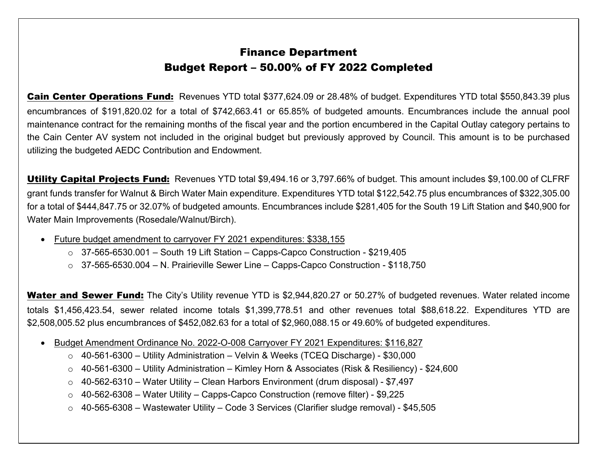Cain Center Operations Fund: Revenues YTD total \$377,624.09 or 28.48% of budget. Expenditures YTD total \$550,843.39 plus encumbrances of \$191,820.02 for a total of \$742,663.41 or 65.85% of budgeted amounts. Encumbrances include the annual pool maintenance contract for the remaining months of the fiscal year and the portion encumbered in the Capital Outlay category pertains to the Cain Center AV system not included in the original budget but previously approved by Council. This amount is to be purchased utilizing the budgeted AEDC Contribution and Endowment.

Utility Capital Projects Fund: Revenues YTD total \$9,494.16 or 3,797.66% of budget. This amount includes \$9,100.00 of CLFRF grant funds transfer for Walnut & Birch Water Main expenditure. Expenditures YTD total \$122,542.75 plus encumbrances of \$322,305.00 for a total of \$444,847.75 or 32.07% of budgeted amounts. Encumbrances include \$281,405 for the South 19 Lift Station and \$40,900 for Water Main Improvements (Rosedale/Walnut/Birch).

- Future budget amendment to carryover FY 2021 expenditures: \$338,155
	- $\circ$  37-565-6530.001 South 19 Lift Station Capps-Capco Construction \$219,405
	- <sup>o</sup> 37-565-6530.004 N. Prairieville Sewer Line Capps-Capco Construction \$118,750

Water and Sewer Fund: The City's Utility revenue YTD is \$2,944,820.27 or 50.27% of budgeted revenues. Water related income totals \$1,456,423.54, sewer related income totals \$1,399,778.51 and other revenues total \$88,618.22. Expenditures YTD are \$2,508,005.52 plus encumbrances of \$452,082.63 for a total of \$2,960,088.15 or 49.60% of budgeted expenditures.

- Budget Amendment Ordinance No. 2022-O-008 Carryover FY 2021 Expenditures: \$116,827
	- <sup>o</sup> 40-561-6300 Utility Administration Velvin & Weeks (TCEQ Discharge) \$30,000
	- <sup>o</sup> 40-561-6300 Utility Administration Kimley Horn & Associates (Risk & Resiliency) \$24,600
	- <sup>o</sup> 40-562-6310 Water Utility Clean Harbors Environment (drum disposal) \$7,497
	- <sup>o</sup> 40-562-6308 Water Utility Capps-Capco Construction (remove filter) \$9,225
	- o 40-565-6308 Wastewater Utility Code 3 Services (Clarifier sludge removal) \$45,505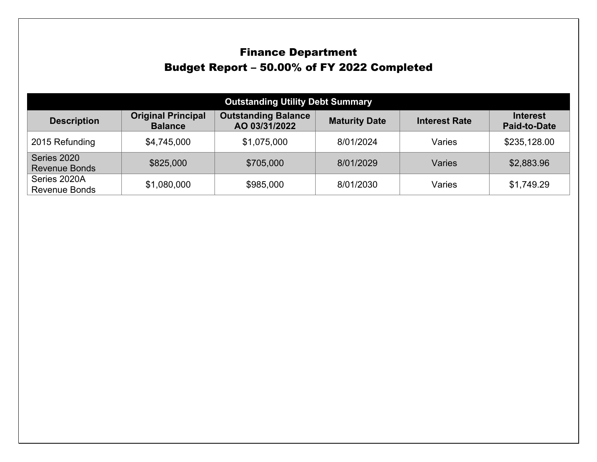| <b>Outstanding Utility Debt Summary</b> |                                             |                                             |                      |                      |                                        |  |  |  |  |
|-----------------------------------------|---------------------------------------------|---------------------------------------------|----------------------|----------------------|----------------------------------------|--|--|--|--|
| <b>Description</b>                      | <b>Original Principal</b><br><b>Balance</b> | <b>Outstanding Balance</b><br>AO 03/31/2022 | <b>Maturity Date</b> | <b>Interest Rate</b> | <b>Interest</b><br><b>Paid-to-Date</b> |  |  |  |  |
| 2015 Refunding                          | \$4,745,000                                 | \$1,075,000                                 | 8/01/2024            | Varies               | \$235,128.00                           |  |  |  |  |
| Series 2020<br><b>Revenue Bonds</b>     | \$825,000                                   | \$705,000                                   | 8/01/2029            | Varies               | \$2,883.96                             |  |  |  |  |
| Series 2020A<br><b>Revenue Bonds</b>    | \$1,080,000                                 | \$985,000                                   | 8/01/2030            | Varies               | \$1,749.29                             |  |  |  |  |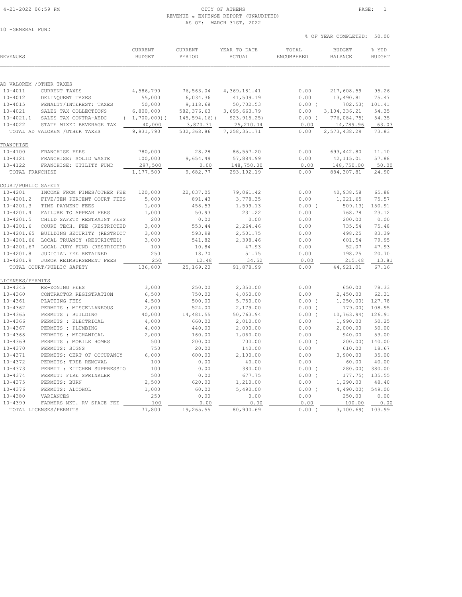### REVENUE & EXPENSE REPORT (UNAUDITED) AS OF: MARCH 31ST, 2022

|                          |                                        |                                 |                   | AS UP; MARUE SISI, 2022 |                     |                                 |                        |
|--------------------------|----------------------------------------|---------------------------------|-------------------|-------------------------|---------------------|---------------------------------|------------------------|
| 10 -GENERAL FUND         |                                        |                                 |                   |                         |                     | % OF YEAR COMPLETED:            | 50.00                  |
| REVENUES                 |                                        | <b>CURRENT</b><br><b>BUDGET</b> | CURRENT<br>PERIOD | YEAR TO DATE<br>ACTUAL  | TOTAL<br>ENCUMBERED | <b>BUDGET</b><br><b>BALANCE</b> | % YTD<br><b>BUDGET</b> |
|                          |                                        |                                 |                   |                         |                     |                                 |                        |
| AD VALOREM / OTHER TAXES |                                        |                                 |                   |                         |                     |                                 |                        |
| $10 - 4011$              | CURRENT TAXES                          | 4,586,790                       | 76,563.04         | 4,369,181.41            | 0.00                | 217,608.59                      | 95.26                  |
| $10 - 4012$              | DELINQUENT TAXES                       | 55,000                          | 6,034.36          | 41,509.19               | 0.00                | 13,490.81                       | 75.47                  |
| $10 - 4015$              | PENALTY/INTEREST: TAXES                | 50,000                          | 9,118.68          | 50,702.53               | $0.00$ (            | 702.53)                         | 101.41                 |
| $10 - 4021$              | SALES TAX COLLECTIONS                  | 6,800,000                       | 582, 376.63       | 3,695,663.79            | 0.00                | 3, 104, 336.21                  | 54.35                  |
| $10 - 4021.1$            | SALES TAX CONTRA-AEDC                  | (1, 700, 000)                   | $145, 594.16$ ) ( | 923, 915.25)            | $0.00$ (            | 776,084.75)                     | 54.35                  |
| $10 - 4022$              | STATE MIXED BEVERAGE TAX               | 40,000                          | 3,870.31          | 25, 210.04              | 0.00                | 14,789.96                       | 63.03                  |
|                          | TOTAL AD VALOREM / OTHER TAXES         | 9,831,790                       | 532,368.86        | 7, 258, 351.71          | 0.00                | 2, 573, 438.29                  | 73.83                  |
| FRANCHISE                |                                        |                                 |                   |                         |                     |                                 |                        |
| $10 - 4100$              | FRANCHISE FEES                         | 780,000                         | 28.28             | 86,557.20               | 0.00                | 693,442.80                      | 11.10                  |
| $10 - 4121$              | FRANCHISE: SOLID WASTE                 | 100,000                         | 9,654.49          | 57,884.99               | 0.00                | 42, 115.01                      | 57.88                  |
| $10 - 4122$              | FRANCHISE: UTILITY FUND                | 297,500                         | 0.00              | 148,750.00              | 0.00                | 148,750.00                      | 50.00                  |
| TOTAL FRANCHISE          |                                        | 1,177,500                       | 9,682.77          | 293, 192.19             | 0.00                | 884, 307.81                     | 24.90                  |
| COURT/PUBLIC SAFETY      |                                        |                                 |                   |                         |                     |                                 |                        |
| $10 - 4201$              | INCOME FROM FINES/OTHER FEE            | 120,000                         | 22,037.05         | 79,061.42               | 0.00                | 40,938.58                       | 65.88                  |
| $10 - 4201.2$            | FIVE/TEN PERCENT COURT FEES            | 5,000                           | 891.43            | 3,778.35                | 0.00                | 1,221.65                        | 75.57                  |
| $10 - 4201.3$            | TIME PAYMENT FEES                      | 1,000                           | 458.53            | 1,509.13                | 0.00(               | 509.13)                         | 150.91                 |
| $10 - 4201.4$            | FAILURE TO APPEAR FEES                 | 1,000                           | 50.93             | 231.22                  | 0.00                | 768.78                          | 23.12                  |
| $10 - 4201.5$            | CHILD SAFETY RESTRAINT FEES            | 200                             | 0.00              | 0.00                    | 0.00                | 200.00                          | 0.00                   |
| $10 - 4201.6$            | COURT TECH. FEE (RESTRICTED            | 3,000                           | 553.44            | 2,264.46                | 0.00                | 735.54                          | 75.48                  |
|                          | 10-4201.65 BUILDING SECURITY (RESTRICT | 3,000                           | 593.98            | 2,501.75                | 0.00                | 498.25                          | 83.39                  |
| $10 - 4201.66$           | LOCAL TRUANCY (RESTRICTED)             | 3,000                           | 541.82            | 2,398.46                | 0.00                | 601.54                          | 79.95                  |
|                          | 10-4201.67 LOCAL JURY FUND (RESTRICTED | 100                             | 10.84             | 47.93                   | 0.00                | 52.07                           | 47.93                  |
| $10 - 4201.8$            | JUDICIAL FEE RETAINED                  | 250                             | 18.70             | 51.75                   | 0.00                | 198.25                          | 20.70                  |
| $10 - 4201.9$            | JUROR REIMBURSEMENT FEES               | 250                             | 12.48             | 34.52                   | 0.00                | 215.48                          | 13.81                  |
|                          | TOTAL COURT/PUBLIC SAFETY              | 136,800                         | 25,169.20         | 91,878.99               | 0.00                | 44,921.01                       | 67.16                  |
| LICENSES/PERMITS         |                                        |                                 |                   |                         |                     |                                 |                        |
| $10 - 4345$              | RE-ZONING FEES                         | 3,000                           | 250.00            | 2,350.00                | 0.00                | 650.00                          | 78.33                  |
| $10 - 4360$              | CONTRACTOR REGISTRATION                | 6,500                           | 750.00            | 4,050.00                | 0.00                | 2,450.00                        | 62.31                  |
| $10 - 4361$              | PLATTING FEES                          | 4,500                           | 500.00            | 5,750.00                | $0.00$ (            | 1,250.00                        | 127.78                 |
| $10 - 4362$              | PERMITS : MISCELLANEOUS                | 2,000                           | 524.00            | 2,179.00                | $0.00$ (            | 179.00)                         | 108.95                 |
| $10 - 4365$              | PERMITS : BUILDING                     | 40,000                          | 14,481.55         | 50,763.94               | $0.00$ (            | 10, 763.94)                     | 126.91                 |
| $10 - 4366$              | PERMITS : ELECTRICAL                   | 4,000                           | 660.00            | 2,010.00                | 0.00                | 1,990.00                        | 50.25                  |
| $10 - 4367$              | PERMITS : PLUMBING                     | 4,000                           | 440.00            | 2,000.00                | 0.00                | 2,000.00                        | 50.00                  |
| $10 - 4368$              | PERMITS : MECHANICAL                   | 2,000                           | 160.00            | 1,060.00                | 0.00                | 940.00                          | 53.00                  |
|                          |                                        |                                 |                   |                         |                     |                                 |                        |

 10-4369 PERMITS : MOBILE HOMES 500 200.00 700.00 0.00 ( 200.00) 140.00 10-4370 PERMITS: SIGNS 750 20.00 140.00 0.00 610.00 18.67 10-4371 PERMITS: CERT OF OCCUPANCY 6,000 600.00 2,100.00 0.00 3,900.00 35.00 10-4372 PERMITS: TREE REMOVAL 100 0.00 40.00 0.00 60.00 40.00 10-4373 PERMIT : KITCHEN SUPPRESSIO 100 0.00 380.00 0.00 ( 280.00) 380.00 10-4374 PERMIT: FIRE SPRINKLER 500 0.00 677.75 0.00 ( 177.75) 135.55 10-4375 PERMITS: BURN 2,500 620.00 1,210.00 0.00 1,290.00 48.40 10-4376 PERMITS: ALCOHOL 1,000 60.00 5,490.00 0.00 ( 4,490.00) 549.00 10-4380 VARIANCES 250 0.00 0.00 0.00 250.00 0.00 10-4399 FARMERS MKT. RV SPACE FEE 100 0.00 0.00 0.00 100.00 0.00 TOTAL LICENSES/PERMITS 77,800 19,265.55 80,900.69 0.00 ( 3,100.69) 103.99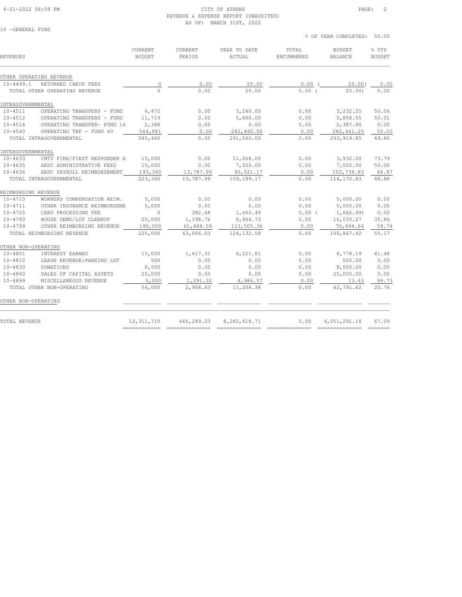#### 4-21-2022 06:59 PM CITY OF ATHENS PAGE: 2 REVENUE & EXPENSE REPORT (UNAUDITED) AS OF: MARCH 31ST, 2022

| 10 -GENERAL FUND |  |
|------------------|--|

| <b>REVENUES</b>         |                               | <b>CURRENT</b><br><b>BUDGET</b> | <b>CURRENT</b><br>PERIOD | YEAR TO DATE<br><b>ACTUAL</b> | TOTAL<br>ENCUMBERED | <b>BUDGET</b><br><b>BALANCE</b> | % YTD<br><b>BUDGET</b> |
|-------------------------|-------------------------------|---------------------------------|--------------------------|-------------------------------|---------------------|---------------------------------|------------------------|
| OTHER OPERATING REVENUE |                               |                                 |                          |                               |                     |                                 |                        |
| $10 - 4499.1$           | RETURNED CHECK FEES           | $\circ$                         | 0.00                     | 25.00                         | 0.00(               | 25.00)                          | 0.00                   |
|                         | TOTAL OTHER OPERATING REVENUE | $\Omega$                        | 0.00                     | 25.00                         | 0.00(               | 25.001                          | 0.00                   |
| INTRAGOVERNMENTAL       |                               |                                 |                          |                               |                     |                                 |                        |
| $10 - 4511$             | OPERATING TRANSFERS - FUND    | 6,472                           | 0.00                     | 3,240.00                      | 0.00                | 3,232.25                        | 50.06                  |
| $10 - 4512$             | OPERATING TRANSFERS - FUND    | 11,719                          | 0.00                     | 5,860.00                      | 0.00                | 5,858.55                        | 50.01                  |
| $10 - 4516$             | OPERATING TRANSFER- FUND 16   | 2,388                           | 0.00                     | 0.00                          | 0.00                | 2,387.80                        | 0.00                   |
| $10 - 4540$             | OPERATING TRF - FUND 40       | 564,881                         | 0.00                     | 282,440.00                    | 0.00                | 282, 441.25                     | 50.00                  |
|                         | TOTAL INTRAGOVERNMENTAL       | 585,460                         | 0.00                     | 291,540.00                    | 0.00                | 293, 919.85                     | 49.80                  |
| INTERGOVERNMENTAL       |                               |                                 |                          |                               |                     |                                 |                        |
| $10 - 4633$             | CNTY FIRE/FIRST RESPONDER A   | 15,000                          | 0.00                     | 11,068.00                     | 0.00                | 3,932.00                        | 73.79                  |
| $10 - 4635$             | AEDC ADMINISTRATIVE FEES      | 15,000                          | 0.00                     | 7,500.00                      | 0.00                | 7,500.00                        | 50.00                  |
| $10 - 4636$             | AEDC PAYROLL REIMBURSEMENT    | 193,360                         | 13,787.99                | 90,621.17                     | 0.00                | 102,738.83                      | 46.87                  |
|                         | TOTAL INTERGOVERNMENTAL       | 223,360                         | 13,787.99                | 109,189.17                    | 0.00                | 114,170.83                      | 48.88                  |
| REIMBURSING REVENUE     |                               |                                 |                          |                               |                     |                                 |                        |
| $10 - 4710$             | WORKERS COMPENSATION REIM.    | 5,000                           | 0.00                     | 0.00                          | 0.00                | 5,000.00                        | 0.00                   |
| $10 - 4711$             | OTHER INSURANCE REIMBURSEME   | 5,000                           | 0.00                     | 0.00                          | 0.00                | 5,000.00                        | 0.00                   |
| $10 - 4725$             | CARD PROCESSING FEE           | $\Omega$                        | 382.68                   | 1,662.49                      | 0.00(               | 1,662.49                        | 0.00                   |
| $10 - 4740$             | HOUSE DEMO/LOT CLEANUP        | 25,000                          | 1,198.76                 | 8,964.73                      | 0.00                | 16,035.27                       | 35.86                  |
| $10 - 4799$             | OTHER REIMBURSING REVENUE     | 190,000                         | 61,484.59                | 113,505.36                    | 0.00                | 76,494.64                       | 59.74                  |
|                         | TOTAL REIMBURSING REVENUE     | 225,000                         | 63,066.03                | 124, 132.58                   | 0.00                | 100,867.42                      | 55.17                  |
| OTHER NON-OPERATING     |                               |                                 |                          |                               |                     |                                 |                        |
| $10 - 4801$             | INTEREST EARNED               | 15,000                          | 1,617.31                 | 6,221.81                      | 0.00                | 8,778.19                        | 41.48                  |
| $10 - 4810$             | LEASE REVENUE: PARKING LOT    | 500                             | 0.00                     | 0.00                          | 0.00                | 500.00                          | 0.00                   |
| $10 - 4830$             | DONATIONS                     | 8,500                           | 0.00                     | 0.00                          | 0.00                | 8,500.00                        | 0.00                   |
| $10 - 4840$             | SALES OF CAPITAL ASSETS       | 25,000                          | 0.00                     | 0.00                          | 0.00                | 25,000.00                       | 0.00                   |
| $10 - 4899$             | MISCELLANEOUS REVENUE         | 5,000                           | 1,291.32                 | 4,986.57                      | 0.00                | 13.43                           | 99.73                  |
|                         | TOTAL OTHER NON-OPERATING     | 54,000                          | 2,908.63                 | 11,208.38                     | 0.00                | 42,791.62                       | 20.76                  |
| OTHER NON-OPERATING     |                               |                                 |                          |                               |                     |                                 |                        |
| TOTAL REVENUE           |                               | 12,311,710                      | 666,249.03               | 8,260,418.71                  | 0.00                | 4,051,291.14                    | 67.09                  |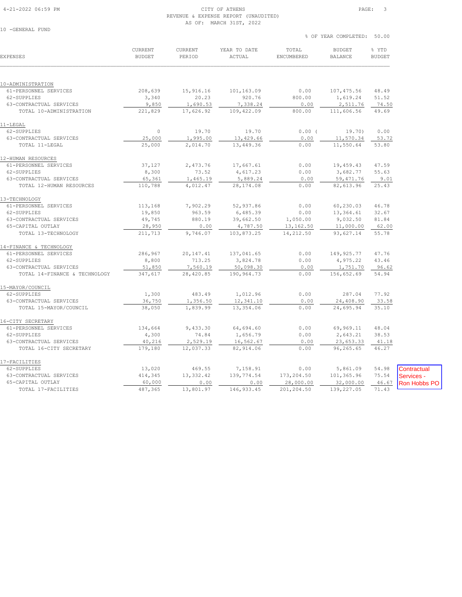#### 4-21-2022 06:59 PM CITY OF ATHENS PAGE: 3 REVENUE & EXPENSE REPORT (UNAUDITED) AS OF: MARCH 31ST, 2022

| 10 | $-$ GENERAL | FUND |  |
|----|-------------|------|--|
|    |             |      |  |

 % OF YEAR COMPLETED: 50.00 CURRENT CURRENT YEAR TO DATE TOTAL BUDGET % YTD

| <b>EXPENSES</b>               | <b>BUDGET</b> | PERIOD    | ACTUAL      | ENCUMBERED | <b>BALANCE</b> | <b>BUDGET</b> |                     |
|-------------------------------|---------------|-----------|-------------|------------|----------------|---------------|---------------------|
|                               |               |           |             |            |                |               |                     |
| 10-ADMINISTRATION             |               |           |             |            |                |               |                     |
| 61-PERSONNEL SERVICES         | 208,639       | 15,916.16 | 101,163.09  | 0.00       | 107,475.56     | 48.49         |                     |
| 62-SUPPLIES                   | 3,340         | 20.23     | 920.76      | 800.00     | 1,619.24       | 51.52         |                     |
| 63-CONTRACTUAL SERVICES       | 9,850         | 1,690.53  | 7,338.24    | 0.00       | 2,511.76       | 74.50         |                     |
| TOTAL 10-ADMINISTRATION       | 221,829       | 17,626.92 | 109,422.09  | 800.00     | 111,606.56     | 49.69         |                     |
| 11-LEGAL                      |               |           |             |            |                |               |                     |
| 62-SUPPLIES                   | $\circ$       | 19.70     | 19.70       | 0.00(      | 19.70)         | 0.00          |                     |
| 63-CONTRACTUAL SERVICES       | 25,000        | 1,995.00  | 13,429.66   | 0.00       | 11,570.34      | 53.72         |                     |
| TOTAL 11-LEGAL                | 25,000        | 2,014.70  | 13,449.36   | 0.00       | 11,550.64      | 53.80         |                     |
| 12-HUMAN RESOURCES            |               |           |             |            |                |               |                     |
| 61-PERSONNEL SERVICES         | 37,127        | 2,473.76  | 17,667.61   | 0.00       | 19,459.43      | 47.59         |                     |
| 62-SUPPLIES                   | 8,300         | 73.52     | 4,617.23    | 0.00       | 3,682.77       | 55.63         |                     |
| 63-CONTRACTUAL SERVICES       | 65,361        | 1,465.19  | 5,889.24    | 0.00       | 59, 471.76     | 9.01          |                     |
| TOTAL 12-HUMAN RESOURCES      | 110,788       | 4,012.47  | 28, 174.08  | 0.00       | 82,613.96      | 25.43         |                     |
| 13-TECHNOLOGY                 |               |           |             |            |                |               |                     |
| 61-PERSONNEL SERVICES         | 113,168       | 7,902.29  | 52,937.86   | 0.00       | 60,230.03      | 46.78         |                     |
| 62-SUPPLIES                   | 19,850        | 963.59    | 6,485.39    | 0.00       | 13,364.61      | 32.67         |                     |
| 63-CONTRACTUAL SERVICES       | 49,745        | 880.19    | 39,662.50   | 1,050.00   | 9,032.50       | 81.84         |                     |
| 65-CAPITAL OUTLAY             | 28,950        | 0.00      | 4,787.50    | 13,162.50  | 11,000.00      | 62.00         |                     |
| TOTAL 13-TECHNOLOGY           | 211,713       | 9,746.07  | 103,873.25  | 14,212.50  | 93,627.14      | 55.78         |                     |
| 14-FINANCE & TECHNOLOGY       |               |           |             |            |                |               |                     |
| 61-PERSONNEL SERVICES         | 286,967       | 20,147.41 | 137,041.65  | 0.00       | 149, 925.77    | 47.76         |                     |
| 62-SUPPLIES                   | 8,800         | 713.25    | 3,824.78    | 0.00       | 4,975.22       | 43.46         |                     |
| 63-CONTRACTUAL SERVICES       | 51,850        | 7,560.19  | 50,098.30   | 0.00       | 1,751.70       | 96.62         |                     |
| TOTAL 14-FINANCE & TECHNOLOGY | 347,617       | 28,420.85 | 190,964.73  | 0.00       | 156,652.69     | 54.94         |                     |
| 15-MAYOR/COUNCIL              |               |           |             |            |                |               |                     |
| 62-SUPPLIES                   | 1,300         | 483.49    | 1,012.96    | 0.00       | 287.04         | 77.92         |                     |
| 63-CONTRACTUAL SERVICES       | 36,750        | 1,356.50  | 12,341.10   | 0.00       | 24,408.90      | 33.58         |                     |
| TOTAL 15-MAYOR/COUNCIL        | 38,050        | 1,839.99  | 13,354.06   | 0.00       | 24,695.94      | 35.10         |                     |
| 16-CITY SECRETARY             |               |           |             |            |                |               |                     |
| 61-PERSONNEL SERVICES         | 134,664       | 9,433.30  | 64,694.60   | 0.00       | 69,969.11      | 48.04         |                     |
| 62-SUPPLIES                   | 4,300         | 74.84     | 1,656.79    | 0.00       | 2,643.21       | 38.53         |                     |
| 63-CONTRACTUAL SERVICES       | 40,216        | 2,529.19  | 16,562.67   | 0.00       | 23,653.33      | 41.18         |                     |
| TOTAL 16-CITY SECRETARY       | 179,180       | 12,037.33 | 82,914.06   | 0.00       | 96,265.65      | 46.27         |                     |
| 17-FACILITIES                 |               |           |             |            |                |               |                     |
| 62-SUPPLIES                   | 13,020        | 469.55    | 7,158.91    | 0.00       | 5,861.09       | 54.98         | Contractual         |
| 63-CONTRACTUAL SERVICES       | 414,345       | 13,332.42 | 139,774.54  | 173,204.50 | 101,365.96     | 75.54         | Services -          |
| 65-CAPITAL OUTLAY             | 60,000        | 0.00      | 0.00        | 28,000.00  | 32,000.00      | 46.67         | <b>Ron Hobbs PO</b> |
| TOTAL 17-FACILITIES           | 487,365       | 13,801.97 | 146, 933.45 | 201,204.50 | 139,227.05     | 71.43         |                     |
|                               |               |           |             |            |                |               |                     |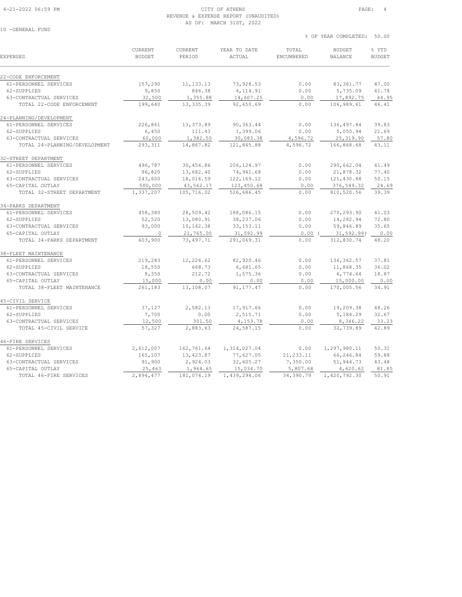#### 4-21-2022 06:59 PM CITY OF ATHENS PAGE: 4 REVENUE & EXPENSE REPORT (UNAUDITED) AS OF: MARCH 31ST, 2022

10 -GENERAL FUND

| <b>EXPENSES</b>               | <b>CURRENT</b><br><b>BUDGET</b> | CURRENT<br>PERIOD | YEAR TO DATE<br><b>ACTUAL</b> | TOTAL<br>ENCUMBERED | <b>BUDGET</b><br><b>BALANCE</b> | % YTD<br><b>BUDGET</b> |
|-------------------------------|---------------------------------|-------------------|-------------------------------|---------------------|---------------------------------|------------------------|
| 22-CODE ENFORCEMENT           |                                 |                   |                               |                     |                                 |                        |
| 61-PERSONNEL SERVICES         | 157,290                         | 11, 133. 13       | 73,928.53                     | 0.00                | 83, 361.77                      | 47.00                  |
| 62-SUPPLIES                   | 9,850                           | 846.38            | 4,114.91                      | 0.00                | 5,735.09                        | 41.78                  |
| 63-CONTRACTUAL SERVICES       | 32,500                          | 1,355.88          | 14,607.25                     | 0.00                | 17,892.75                       | 44.95                  |
| TOTAL 22-CODE ENFORCEMENT     | 199,640                         | 13, 335.39        | 92,650.69                     | 0.00                | 106,989.61                      | 46.41                  |
| 24-PLANNING/DEVELOPMENT       |                                 |                   |                               |                     |                                 |                        |
| 61-PERSONNEL SERVICES         | 226,861                         | 13,373.89         | 90,363.44                     | 0.00                | 136, 497.84                     | 39.83                  |
| 62-SUPPLIES                   | 6,450                           | 111.43            | 1,399.06                      | 0.00                | 5,050.94                        | 21.69                  |
| 63-CONTRACTUAL SERVICES       | 60,000                          | 1,382.50          | 30,083.38                     | 4,596.72            | 25, 319.90                      | 57.80                  |
| TOTAL 24-PLANNING/DEVELOPMENT | 293,311                         | 14,867.82         | 121,845.88                    | 4,596.72            | 166,868.68                      | 43.11                  |
| 32-STREET DEPARTMENT          |                                 |                   |                               |                     |                                 |                        |
| 61-PERSONNEL SERVICES         | 496,787                         | 30,454.86         | 206, 124.97                   | 0.00                | 290,662.04                      | 41.49                  |
| 62-SUPPLIES                   | 96,820                          | 13,682.40         | 74,941.68                     | 0.00                | 21,878.32                       | 77.40                  |
| 63-CONTRACTUAL SERVICES       | 243,600                         | 18,016.59         | 122, 169. 12                  | 0.00                | 121,430.88                      | 50.15                  |
| 65-CAPITAL OUTLAY             | 500,000                         | 43,562.17         | 123,450.68                    | 0.00                | 376, 549.32                     | 24.69                  |
| TOTAL 32-STREET DEPARTMENT    | 1,337,207                       | 105,716.02        | 526,686.45                    | 0.00                | 810,520.56                      | 39.39                  |
| 34-PARKS DEPARTMENT           |                                 |                   |                               |                     |                                 |                        |
| 61-PERSONNEL SERVICES         | 458,380                         | 28,509.42         | 188,086.15                    | 0.00                | 270,293.90                      | 41.03                  |
| 62-SUPPLIES                   | 52,520                          | 13,080.91         | 38,237.06                     | 0.00                | 14,282.94                       | 72.80                  |
| 63-CONTRACTUAL SERVICES       | 93,000                          | 10,142.38         | 33, 153. 11                   | 0.00                | 59,846.89                       | 35.65                  |
| 65-CAPITAL OUTLAY             | $\circ$                         | 21,765.00         | 31,592.99                     | 0.00                | 31,592.99)                      | 0.00                   |
| TOTAL 34-PARKS DEPARTMENT     | 603,900                         | 73,497.71         | 291,069.31                    | 0.00                | 312,830.74                      | 48.20                  |
| 38-FLEET MAINTENANCE          |                                 |                   |                               |                     |                                 |                        |
| 61-PERSONNEL SERVICES         | 219,283                         | 12,226.62         | 82,920.46                     | 0.00                | 136, 362.57                     | 37.81                  |
| 62-SUPPLIES                   | 18,550                          | 668.73            | 6,681.65                      | 0.00                | 11,868.35                       | 36.02                  |
| 63-CONTRACTUAL SERVICES       | 8,350                           | 212.72            | 1,575.36                      | 0.00                | 6,774.64                        | 18.87                  |
| 65-CAPITAL OUTLAY             | 15,000                          | 0.00              | 0.00                          | 0.00                | 15,000.00                       | 0.00                   |
| TOTAL 38-FLEET MAINTENANCE    | 261,183                         | 13,108.07         | 91, 177. 47                   | 0.00                | 170,005.56                      | 34.91                  |
| 45-CIVIL SERVICE              |                                 |                   |                               |                     |                                 |                        |
| 61-PERSONNEL SERVICES         | 37,127                          | 2,582.13          | 17,917.66                     | 0.00                | 19,209.38                       | 48.26                  |
| 62-SUPPLIES                   | 7,700                           | 0.00              | 2,515.71                      | 0.00                | 5,184.29                        | 32.67                  |
| 63-CONTRACTUAL SERVICES       | 12,500                          | 301.50            | 4,153.78                      | 0.00                | 8,346.22                        | 33.23                  |
| TOTAL 45-CIVIL SERVICE        | 57,327                          | 2,883.63          | 24,587.15                     | 0.00                | 32,739.89                       | 42.89                  |
| 46-FIRE SERVICES              |                                 |                   |                               |                     |                                 |                        |
| 61-PERSONNEL SERVICES         | 2,612,007                       | 162,761.64        | 1,314,027.04                  | 0.00                | 1,297,980.11                    | 50.31                  |
| 62-SUPPLIES                   | 165,107                         | 13,423.87         | 77,627.05                     | 21, 233.11          | 66,246.84                       | 59.88                  |
| 63-CONTRACTUAL SERVICES       | 91,900                          | 2,924.03          | 32,605.27                     | 7,350.00            | 51,944.73                       | 43.48                  |
| 65-CAPITAL OUTLAY             | 25,463                          | 1,964.65          | 15,034.70                     | 5,807.68            | 4,620.62                        | 81.85                  |

TOTAL 46-FIRE SERVICES 2,894,477 181,074.19 1,439,294.06 34,390.79 1,420,792.30 50.91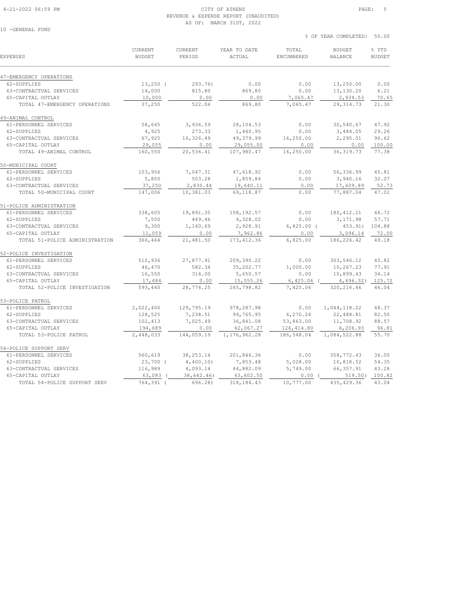#### 4-21-2022 06:59 PM CITY OF ATHENS PAGE: 5 REVENUE & EXPENSE REPORT (UNAUDITED) AS OF: MARCH 31ST, 2022

10 -GENERAL FUND

| <b>EXPENSES</b>                | <b>CURRENT</b><br><b>BUDGET</b> | CURRENT<br>PERIOD | YEAR TO DATE<br><b>ACTUAL</b> | TOTAL<br>ENCUMBERED | <b>BUDGET</b><br><b>BALANCE</b> | % YTD<br><b>BUDGET</b> |
|--------------------------------|---------------------------------|-------------------|-------------------------------|---------------------|---------------------------------|------------------------|
| 47-EMERGENCY OPERATIONS        |                                 |                   |                               |                     |                                 |                        |
| 62-SUPPLIES                    | $13,250$ (                      | 293.76)           | 0.00                          | 0.00                | 13,250.00                       | 0.00                   |
| 63-CONTRACTUAL SERVICES        | 14,000                          | 815.80            | 869.80                        | 0.00                | 13,130.20                       | 6.21                   |
| 65-CAPITAL OUTLAY              | 10,000                          | 0.00              | 0.00                          | 7,065.47            | 2,934.53                        | 70.65                  |
| TOTAL 47-EMERGENCY OPERATIONS  | 37,250                          | 522.04            | 869.80                        | 7,065.47            | 29, 314.73                      | 21.30                  |
| 49-ANIMAL CONTROL              |                                 |                   |                               |                     |                                 |                        |
| 61-PERSONNEL SERVICES          | 58,645                          | 3,936.59          | 28,104.53                     | 0.00                | 30,540.67                       | 47.92                  |
| 62-SUPPLIES                    | 4,925                           | 273.33            | 1,440.95                      | 0.00                | 3,484.05                        | 29.26                  |
| 63-CONTRACTUAL SERVICES        | 67,925                          | 16,326.49         | 49,379.99                     | 16,250.00           | 2,295.01                        | 96.62                  |
| 65-CAPITAL OUTLAY              | 29,055                          | 0.00              | 29,055.00                     | 0.00                | 0.00                            | 100.00                 |
| TOTAL 49-ANIMAL CONTROL        | 160,550                         | 20,536.41         | 107,980.47                    | 16,250.00           | 36, 319.73                      | 77.38                  |
| 50-MUNICIPAL COURT             |                                 |                   |                               |                     |                                 |                        |
| 61-PERSONNEL SERVICES          | 103,956                         | 7,047.31          | 47,618.92                     | 0.00                | 56,336.99                       | 45.81                  |
| 62-SUPPLIES                    | 5,800                           | 503.28            | 1,859.84                      | 0.00                | 3,940.16                        | 32.07                  |
| 63-CONTRACTUAL SERVICES        | 37,250                          | 2,830.44          | 19,640.11                     | 0.00                | 17,609.89                       | 52.73                  |
| TOTAL 50-MUNICIPAL COURT       | 147,006                         | 10,381.03         | 69,118.87                     | 0.00                | 77,887.04                       | 47.02                  |
| 51-POLICE ADMINISTRATION       |                                 |                   |                               |                     |                                 |                        |
| 61-PERSONNEL SERVICES          | 338,605                         | 19,891.35         | 158, 192.57                   | 0.00                | 180, 412.21                     | 46.72                  |
| 62-SUPPLIES                    | 7,500                           | 449.46            | 4,328.02                      | 0.00                | 3,171.98                        | 57.71                  |
| 63-CONTRACTUAL SERVICES        | 9,300                           | 1,140.69          | 2,928.91                      | $6,825.00$ (        | 453.91)                         | 104.88                 |
| 65-CAPITAL OUTLAY              | 11,059                          | 0.00              | 7,962.86                      | 0.00                | 3,096.14                        | 72.00                  |
| TOTAL 51-POLICE ADMINISTRATION | 366,464                         | 21,481.50         | 173, 412.36                   | 6,825.00            | 186,226.42                      | 49.18                  |
| 52-POLICE INVESTIGATION        |                                 |                   |                               |                     |                                 |                        |
| 61-PERSONNEL SERVICES          | 512,936                         | 27,877.91         | 209,390.22                    | 0.00                | 303,546.12                      | 40.82                  |
| 62-SUPPLIES                    | 46,470                          | 582.34            | 35,202.77                     | 1,000.00            | 10,267.23                       | 77.91                  |
| 63-CONTRACTUAL SERVICES        | 16,550                          | 314.00            | 5,650.57                      | 0.00                | 10,899.43                       | 34.14                  |
| 65-CAPITAL OUTLAY              | 17,484                          | 0.00              | 15,555.26                     | 6,425.06            | 4,496.32)                       | 125.72                 |
| TOTAL 52-POLICE INVESTIGATION  | 593,440                         | 28,774.25         | 265,798.82                    | 7,425.06            | 320, 216.46                     | 46.04                  |
| 53-POLICE PATROL               |                                 |                   |                               |                     |                                 |                        |
| 61-PERSONNEL SERVICES          | 2,022,406                       | 129,795.19        | 978,287.98                    | 0.00                | 1,044,118.22                    | 48.37                  |
| 62-SUPPLIES                    | 128,525                         | 7,238.51          | 99,765.95                     | 6,270.24            | 22,488.81                       | 82.50                  |
| 63-CONTRACTUAL SERVICES        | 102,413                         | 7,025.49          | 36,841.08                     | 53,863.00           | 11,708.92                       | 88.57                  |
| 65-CAPITAL OUTLAY              | 194,689                         | 0.00              | 62,067.27                     | 126,414.80          | 6,206.93                        | 96.81                  |
| TOTAL 53-POLICE PATROL         | 2,448,033                       | 144,059.19        | 1, 176, 962.28                | 186,548.04          | 1,084,522.88                    | 55.70                  |
| 54-POLICE SUPPORT SERV         |                                 |                   |                               |                     |                                 |                        |
| 61-PERSONNEL SERVICES          | 560,619                         | 38, 253. 14       | 201,846.36                    | 0.00                | 358,772.43                      | 36.00                  |
| 62-SUPPLIES                    | $23,700$ (                      | 4,400.10          | 7,853.48                      | 5,028.00            | 10,818.52                       | 54.35                  |
| 63-CONTRACTUAL SERVICES        | 116,989                         | 4,093.14          | 44,882.09                     | 5,749.00            | 66, 357.91                      | 43.28                  |
| 65-CAPITAL OUTLAY              | 63,083 (                        | 38,642.46)        | 63,602.50                     | 0.00(               | 519.50)                         | 100.82                 |

TOTAL 54-POLICE SUPPORT SERV 764,391 ( 696.28) 318,184.43 10,777.00 435,429.36 43.04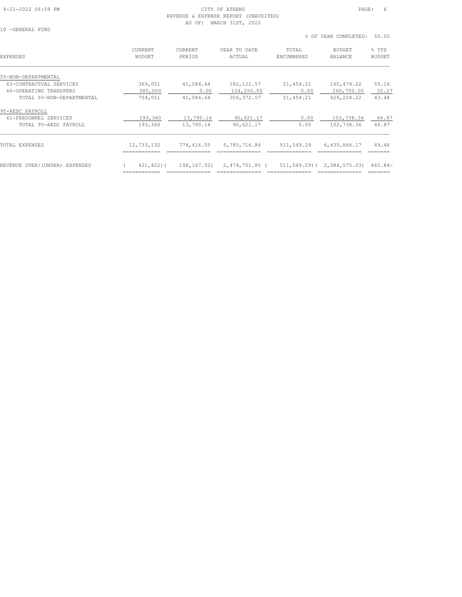#### 4-21-2022 06:59 PM CITY OF ATHENS PAGE: 6 REVENUE & EXPENSE REPORT (UNAUDITED) AS OF: MARCH 31ST, 2022

| 10 | $-GRNERAI$ . FIND |  |
|----|-------------------|--|

| EXPENSES                         | <b>CURRENT</b><br><b>BUDGET</b> | <b>CURRENT</b><br>PERIOD | YEAR TO DATE<br>ACTUAL | TOTAL<br>ENCUMBERED | <b>BUDGET</b><br><b>BALANCE</b> | % YTD<br>BUDGET |
|----------------------------------|---------------------------------|--------------------------|------------------------|---------------------|---------------------------------|-----------------|
| 55-NON-DEPARTMENTAL              |                                 |                          |                        |                     |                                 |                 |
| 63-CONTRACTUAL SERVICES          | 369,051                         | 41,584.64                | 182, 122.57            | 21, 454.21          | 165, 474.22                     | 55.16           |
| 66-OPERATING TRANSFERS           | 385,000                         | 0.00                     | 124,250.00             | 0.00                | 260,750.00                      | 32.27           |
| TOTAL 55-NON-DEPARTMENTAL        | 754,051                         | 41,584.64                | 306, 372.57            | 21, 454.21          | 426,224.22                      | 43.48           |
| 95-AEDC PAYROLL                  |                                 |                          |                        |                     |                                 |                 |
| 61-PERSONNEL SERVICES            | 193,360                         | 13,790.14                | 90,621.17              | 0.00                | 102,738.36                      | 46.87           |
| TOTAL 95-AEDC PAYROLL            | 193,360                         | 13,790.14                | 90,621.17              | 0.00                | 102,738.36                      | 46.87           |
| TOTAL EXPENSES                   | 12,733,132                      | 774,416.05               | 5,785,716.86           | 511,549.29          | 6,435,866.17                    | 49.46           |
|                                  |                                 |                          |                        |                     |                                 |                 |
| REVENUE OVER/(UNDER)<br>EXPENSES | 421,422)(                       | 108,167.02)              | 2,474,701.85 (         | 511,549.29)(        | 2,384,575.03)                   | $465.84-$       |
|                                  |                                 | ==============           | ===============        |                     | ==============                  |                 |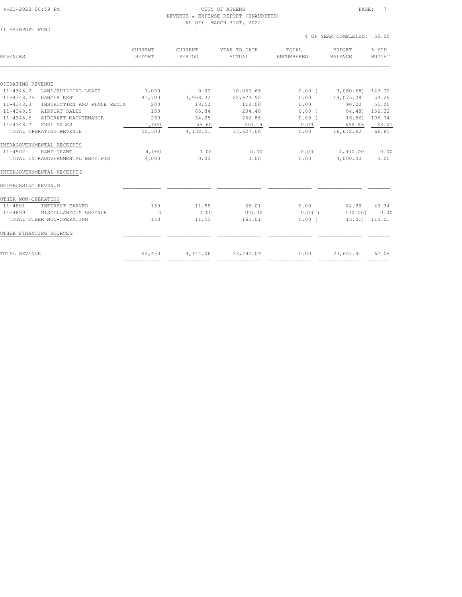#### 4-21-2022 06:59 PM CITY OF ATHENS PAGE: 7 REVENUE & EXPENSE REPORT (UNAUDITED) AS OF: MARCH 31ST, 2022

11 -AIRPORT FUND

| REVENUES                                     | CURRENT<br><b>BUDGET</b> | CURRENT<br>PERIOD | YEAR TO DATE<br>ACTUAL | TOTAL<br>ENCUMBERED | <b>BUDGET</b><br><b>BALANCE</b> | % YTD<br><b>BUDGET</b> |
|----------------------------------------------|--------------------------|-------------------|------------------------|---------------------|---------------------------------|------------------------|
|                                              |                          |                   |                        |                     |                                 |                        |
| OPERATING REVENUE                            |                          |                   |                        |                     |                                 |                        |
| $11 - 4348.2$<br>LAND/BUILDING LEASE         | 7,000                    | 0.00              | 10,060.68              | $0.00$ (            | 3,060.68) 143.72                |                        |
| 11-4348.25<br>HANGER RENT                    | 41,700                   | 3,958.32          | 22,624.92              | 0.00                | 19,075.08                       | 54.26                  |
| $11 - 4348.3$<br>INSTRUCTION AND PLANE RENTA | 200                      | 18.50             | 110.00                 | 0.00                | 90.00                           | 55.00                  |
| $11 - 4348.5$<br>AIRPORT SALES               | 150                      | 65.84             | 234.48                 | $0.00$ (            | 84.48)                          | 156.32                 |
| $11 - 4348.6$<br>AIRCRAFT MAINTENANCE        | 250                      | 34.25             | 266.86                 | $0.00$ (            | 16.86)                          | 106.74                 |
| $11 - 4348.7$<br>FUEL SALES                  | 1,000                    | 55.60             | 330.14                 | 0.00                | 669.86                          | 33.01                  |
| TOTAL OPERATING REVENUE                      | 50,300                   | 4,132.51          | 33,627.08              | 0.00                | 16,672.92                       | 66.85                  |
| INTRAGOVERNMENTAL RECEIPTS                   |                          |                   |                        |                     |                                 |                        |
| $11 - 4502$<br>RAMP GRANT                    | 4,000                    | 0.00              | 0.00                   | 0.00                | 4,000.00                        | 0.00                   |
| TOTAL INTRAGOVERNMENTAL RECEIPTS             | 4,000                    | 0.00              | 0.00                   | 0.00                | 4,000.00                        | 0.00                   |
| INTERGOVERNMENTAL RECEIPTS                   |                          |                   |                        |                     |                                 |                        |
| REIMBURSING REVENUE                          |                          |                   |                        |                     |                                 |                        |
| OTHER NON-OPERATING                          |                          |                   |                        |                     |                                 |                        |
| 11-4801<br>INTEREST EARNED                   | 150                      | 11.55             | 65.01                  | 0.00                | 84.99                           | 43.34                  |
| 11-4899<br>MISCELLANEOUS REVENUE             | $\circ$                  | 0.00              | 100.00                 | 0.00                | 100.00)                         | 0.00                   |
| TOTAL OTHER NON-OPERATING                    | 150                      | 11.55             | 165.01                 | 0.00(               | 15.01)                          | 110.01                 |
| OTHER FINANCING SOURCES                      |                          |                   |                        |                     |                                 |                        |
| TOTAL REVENUE                                | 54,450                   | 4,144.06          | 33,792.09              | 0.00                | 20,657.91                       | 62.06                  |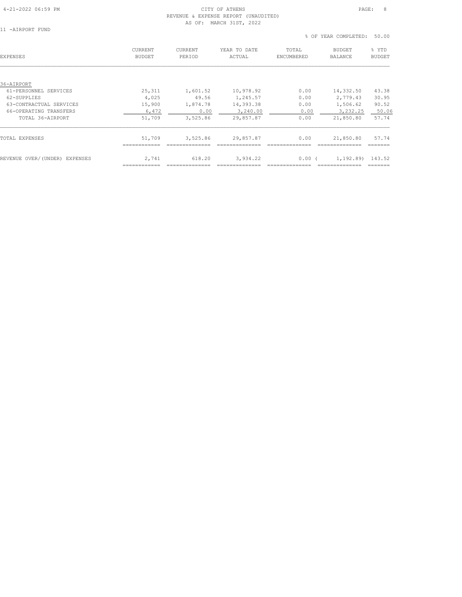## 4-21-2022 06:59 PM CITY OF ATHENS PAGE: 8 REVENUE & EXPENSE REPORT (UNAUDITED)

| -AIRPORT FUND |  |
|---------------|--|
| $\sim$        |  |

|                  |  |  | AS OF: MARCH 31ST, 2022 |  |  |
|------------------|--|--|-------------------------|--|--|
| 11 -AIRPORT FUND |  |  |                         |  |  |
|                  |  |  |                         |  |  |

| EXPENSES                      | <b>CURRENT</b><br><b>BUDGET</b> | <b>CURRENT</b><br>PERIOD | YEAR TO DATE<br>ACTUAL | TOTAL<br>ENCUMBERED | <b>BUDGET</b><br><b>BALANCE</b> | % YTD<br><b>BUDGET</b> |
|-------------------------------|---------------------------------|--------------------------|------------------------|---------------------|---------------------------------|------------------------|
|                               |                                 |                          |                        |                     |                                 |                        |
| 36-AIRPORT                    |                                 |                          |                        |                     |                                 |                        |
| 61-PERSONNEL SERVICES         | 25,311                          | 1,601.52                 | 10,978.92              | 0.00                | 14,332.50                       | 43.38                  |
| 62-SUPPLIES                   | 4,025                           | 49.56                    | 1,245.57               | 0.00                | 2,779.43                        | 30.95                  |
| 63-CONTRACTUAL SERVICES       | 15,900                          | 1,874.78                 | 14,393.38              | 0.00                | 1,506.62                        | 90.52                  |
| 66-OPERATING TRANSFERS        | 6,472                           | 0.00                     | 3,240.00               | 0.00                | 3,232.25                        | 50.06                  |
| TOTAL 36-AIRPORT              | 51,709                          | 3,525.86                 | 29,857.87              | 0.00                | 21,850.80                       | 57.74                  |
| TOTAL EXPENSES                | 51,709                          | 3,525.86                 | 29,857.87              | 0.00                | 21,850.80                       | 57.74                  |
|                               |                                 |                          |                        |                     |                                 |                        |
| REVENUE OVER/(UNDER) EXPENSES | 2,741                           | 618.20                   | 3,934.22               | $0.00$ (            | 1,192.89)                       | 143.52                 |
|                               |                                 |                          |                        |                     |                                 |                        |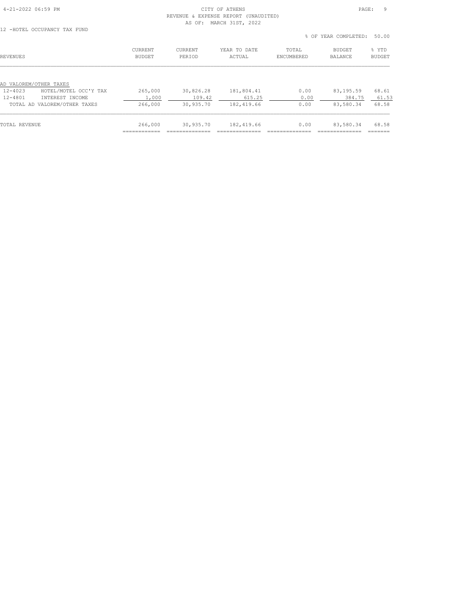### 4-21-2022 06:59 PM CITY OF ATHENS PAGE: 9 REVENUE & EXPENSE REPORT (UNAUDITED) AS OF: MARCH 31ST, 2022<br>12 -HOTEL OCCUPANCY TAX FUND

|  | 12 -HOTEL OCCUPANCY TAX FUND |  |  |
|--|------------------------------|--|--|
|  |                              |  |  |

|                                      |                                 |                   |                        |                     | % OF YEAR COMPLETED:            | 50.00                  |
|--------------------------------------|---------------------------------|-------------------|------------------------|---------------------|---------------------------------|------------------------|
| <b>REVENUES</b>                      | <b>CURRENT</b><br><b>BUDGET</b> | CURRENT<br>PERIOD | YEAR TO DATE<br>ACTUAL | TOTAL<br>ENCUMBERED | <b>BUDGET</b><br><b>BALANCE</b> | % YTD<br><b>BUDGET</b> |
|                                      |                                 |                   |                        |                     |                                 |                        |
| AD VALOREM/OTHER TAXES               |                                 |                   |                        |                     |                                 |                        |
| $12 - 4023$<br>HOTEL/MOTEL OCC'Y TAX | 265,000                         | 30,826.28         | 181,804.41             | 0.00                | 83,195.59                       | 68.61                  |
| $12 - 4801$<br>INTEREST INCOME       | 1,000                           | 109.42            | 615.25                 | 0.00                | 384.75                          | 61.53                  |
| TOTAL AD VALOREM/OTHER TAXES         | 266,000                         | 30,935.70         | 182,419.66             | 0.00                | 83,580.34                       | 68.58                  |
|                                      |                                 |                   |                        |                     |                                 |                        |
| TOTAL REVENUE                        | 266,000                         | 30,935.70         | 182,419.66             | 0.00                | 83,580.34                       | 68.58                  |
|                                      |                                 |                   |                        |                     |                                 |                        |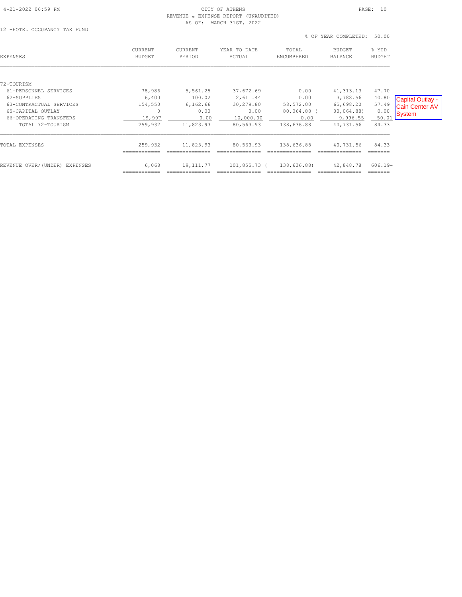#### 4-21-2022 06:59 PM CITY OF ATHENS PAGE: 10 REVENUE & EXPENSE REPORT (UNAUDITED) AS OF: MARCH 31ST, 2022

12 -HOTEL OCCUPANCY TAX FUND

|                                                                        |                              |                           |                                |                                  | % OF YEAR COMPLETED:                | 50.00                  |                                 |
|------------------------------------------------------------------------|------------------------------|---------------------------|--------------------------------|----------------------------------|-------------------------------------|------------------------|---------------------------------|
| EXPENSES                                                               | CURRENT<br><b>BUDGET</b>     | CURRENT<br>PERIOD         | YEAR TO DATE<br>ACTUAL         | TOTAL<br>ENCUMBERED              | <b>BUDGET</b><br><b>BALANCE</b>     | % YTD<br><b>BUDGET</b> |                                 |
| 72-TOURISM<br>61-PERSONNEL SERVICES<br>62-SUPPLIES                     | 78,986<br>6,400              | 5,561.25<br>100.02        | 37,672.69<br>2,611.44          | 0.00<br>0.00                     | 41, 313.13<br>3,788.56              | 47.70<br>40.80         | Capital Outlay -                |
| 63-CONTRACTUAL SERVICES<br>65-CAPITAL OUTLAY<br>66-OPERATING TRANSFERS | 154,550<br>$\circ$<br>19,997 | 6, 162.66<br>0.00<br>0.00 | 30,279.80<br>0.00<br>10,000.00 | 58,572.00<br>80,064.88 (<br>0.00 | 65,698.20<br>80,064.88)<br>9,996.55 | 57.49<br>0.00<br>50.01 | <b>Cain Center AV</b><br>System |
| TOTAL 72-TOURISM<br>TOTAL EXPENSES                                     | 259,932<br>259,932           | 11,823.93<br>11,823.93    | 80,563.93<br>80,563.93         | 138,636.88<br>138,636.88         | 40,731.56<br>40,731.56              | 84.33<br>84.33         |                                 |
| REVENUE OVER/(UNDER) EXPENSES                                          | 6,068                        | 19,111.77                 | 101,855.73 (                   | 138,636.88)                      | 42,848.78                           | $606.19 -$             |                                 |
|                                                                        |                              |                           |                                |                                  |                                     | =======                |                                 |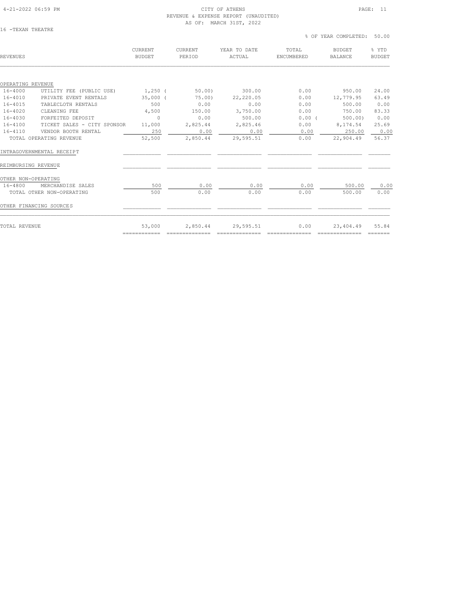#### 4-21-2022 06:59 PM CITY OF ATHENS PAGE: 11 REVENUE & EXPENSE REPORT (UNAUDITED) AS OF: MARCH 31ST, 2022

============ ============== ============== ============== ============== =======

## CURRENT CURRENT YEAR TO DATE TOTAL BUDGET % YTD REVENUES BUDGET PERIOD ACTUAL ENCUMBERED BALANCE BUDGET  $\mathcal{L} = \{ \mathcal{L} = \{ \mathcal{L} = \{ \mathcal{L} = \{ \mathcal{L} = \{ \mathcal{L} = \{ \mathcal{L} = \{ \mathcal{L} = \{ \mathcal{L} = \{ \mathcal{L} = \{ \mathcal{L} = \{ \mathcal{L} = \{ \mathcal{L} = \{ \mathcal{L} = \{ \mathcal{L} = \{ \mathcal{L} = \{ \mathcal{L} = \{ \mathcal{L} = \{ \mathcal{L} = \{ \mathcal{L} = \{ \mathcal{L} = \{ \mathcal{L} = \{ \mathcal{L} = \{ \mathcal{L} = \{ \mathcal{$ OPERATING REVENUE 16-4000 UTILITY FEE (PUBLIC USE) 1,250 ( 50.00) 300.00 0.00 950.00 24.00 16-4010 PRIVATE EVENT RENTALS 35,000 ( 75.00) 22,220.05 0.00 12,779.95 63.49 16-4015 TABLECLOTH RENTALS 500 0.00 0.00 0.00 500.00 0.00 16-4020 CLEANING FEE 4,500 150.00 3,750.00 0.00 750.00 83.33 16-4030 FORFEITED DEPOSIT 0 0.00 500.00 0.00 ( 500.00) 0.00 16-4100 TICKET SALES - CITY SPONSOR 11,000 2,825.44 2,825.46 0.00 8,174.54 25.69 16-4110 VENDOR BOOTH RENTAL 250 0.00 0.00 0.00 250.00 0.00 TOTAL OPERATING REVENUE 52,500 2,850.44 29,595.51 0.00 22,904.49 56.37 INTRAGOVERNMENTAL RECEIPT \_\_\_\_\_\_\_\_\_\_\_\_ \_\_\_\_\_\_\_\_\_\_\_\_\_\_ \_\_\_\_\_\_\_\_\_\_\_\_\_\_ \_\_\_\_\_\_\_\_\_\_\_\_\_\_ \_\_\_\_\_\_\_\_\_\_\_\_\_\_ \_\_\_\_\_\_\_ REIMBURSING REVENUE \_\_\_\_\_\_\_\_\_\_\_\_ \_\_\_\_\_\_\_\_\_\_\_\_\_\_ \_\_\_\_\_\_\_\_\_\_\_\_\_\_ \_\_\_\_\_\_\_\_\_\_\_\_\_\_ \_\_\_\_\_\_\_\_\_\_\_\_\_\_ \_\_\_\_\_\_\_ OTHER NON-OPERATING<br>16-4800 MERCHANDISE SALES 16-4800 MERCHANDISE SALES 500 0.00 0.00 0.00 500.00 0.00 TOTAL OTHER NON-OPERATING 500 0.00 0.00 0.00 500.00 0.00 OTHER FINANCING SOURCES  $\qquad \qquad \qquad \qquad$  $\mathcal{L} = \{ \mathcal{L} = \{ \mathcal{L} = \{ \mathcal{L} = \{ \mathcal{L} = \{ \mathcal{L} = \{ \mathcal{L} = \{ \mathcal{L} = \{ \mathcal{L} = \{ \mathcal{L} = \{ \mathcal{L} = \{ \mathcal{L} = \{ \mathcal{L} = \{ \mathcal{L} = \{ \mathcal{L} = \{ \mathcal{L} = \{ \mathcal{L} = \{ \mathcal{L} = \{ \mathcal{L} = \{ \mathcal{L} = \{ \mathcal{L} = \{ \mathcal{L} = \{ \mathcal{L} = \{ \mathcal{L} = \{ \mathcal{$ TOTAL REVENUE 53,000 2,850.44 29,595.51 0.00 23,404.49 55.84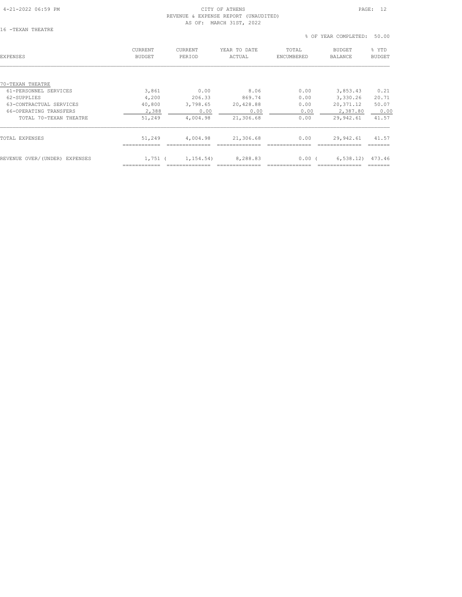## 4-21-2022 06:59 PM CITY OF ATHENS PAGE: 12 REVENUE & EXPENSE REPORT (UNAUDITED)

| ı<br>n | $-$ TF. $XAN$ | THEATRE |  |
|--------|---------------|---------|--|
|        |               |         |  |

|                         |                          | AS OF:                   | MARCH 31ST, 2022       |                     |                                 |                        |
|-------------------------|--------------------------|--------------------------|------------------------|---------------------|---------------------------------|------------------------|
| 16 -TEXAN THEATRE       |                          |                          |                        |                     | % OF YEAR COMPLETED:            | 50.00                  |
| EXPENSES                | <b>CURRENT</b><br>BUDGET | <b>CURRENT</b><br>PERIOD | YEAR TO DATE<br>ACTUAL | TOTAL<br>ENCUMBERED | <b>BUDGET</b><br><b>BALANCE</b> | % YTD<br><b>BUDGET</b> |
|                         |                          |                          |                        |                     |                                 |                        |
| 70-TEXAN THEATRE        |                          |                          |                        |                     |                                 |                        |
| 61-PERSONNEL SERVICES   | 3,861                    | 0.00                     | 8.06                   | 0.00                | 3,853.43                        | 0.21                   |
| 62-SUPPLIES             | 4,200                    | 206.33                   | 869.74                 | 0.00                | 3,330.26                        | 20.71                  |
| 63-CONTRACTUAL SERVICES | 40,800                   | 3,798.65                 | 20,428.88              | 0.00                | 20,371.12                       | 50.07                  |
| 66-OPERATING TRANSFERS  | 2,388                    | 0.00                     | 0.00                   | 0.00                | 2,387.80                        | 0.00                   |
| TOTAL 70-TEXAN THEATRE  | 51,249                   | 4,004.98                 | 21,306.68              | 0.00                | 29,942.61                       | 41.57                  |
|                         |                          |                          |                        |                     |                                 |                        |

| TOTAL EXPENSES                | 51,249 | 4,004.98               | 21,306.68 | 0.00     | 29,942.61 41.57  |  |
|-------------------------------|--------|------------------------|-----------|----------|------------------|--|
| REVENUE OVER/(UNDER) EXPENSES |        | $1,751$ ( $1,154,54$ ) | 8,288.83  | $0.00$ ( | 6,538.12) 473.46 |  |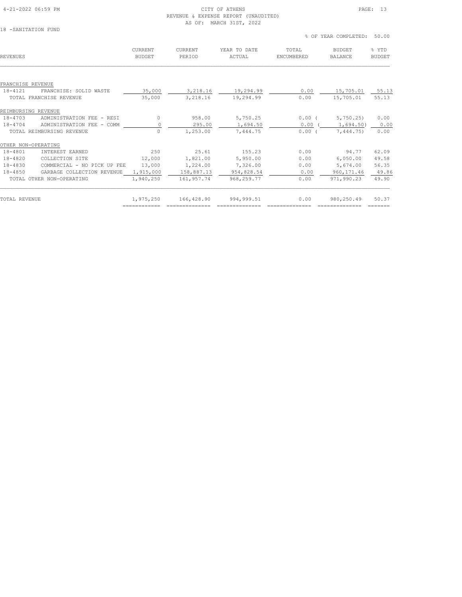## REVENUE & EXPENSE REPORT (UNAUDITED) AS OF: MARCH 31ST, 2022

| 18 | -SANITATION FUND |  |
|----|------------------|--|
|    |                  |  |

 % OF YEAR COMPLETED: 50.00 CURRENT CURRENT YEAR TO DATE TOTAL BUDGET % YTD REVENUES BUDGET PERIOD ACTUAL ENCUMBERED BALANCE BUDGET  $\mathcal{L} = \{ \mathcal{L} = \{ \mathcal{L} = \{ \mathcal{L} = \{ \mathcal{L} = \{ \mathcal{L} = \{ \mathcal{L} = \{ \mathcal{L} = \{ \mathcal{L} = \{ \mathcal{L} = \{ \mathcal{L} = \{ \mathcal{L} = \{ \mathcal{L} = \{ \mathcal{L} = \{ \mathcal{L} = \{ \mathcal{L} = \{ \mathcal{L} = \{ \mathcal{L} = \{ \mathcal{L} = \{ \mathcal{L} = \{ \mathcal{L} = \{ \mathcal{L} = \{ \mathcal{L} = \{ \mathcal{L} = \{ \mathcal{$ FRANCHISE REVENUE 18-4121 FRANCHISE: SOLID WASTE 35,000 3,218.16 19,294.99 0.00 15,705.01 55.13 TOTAL FRANCHISE REVENUE 35,000 3,218.16 19,294.99 0.00 15,705.01 55.13 REIMBURSING REVENUE 18-4703 ADMINISTRATION FEE - RESI 0 958.00 5,750.25 0.00 ( 5,750.25) 0.00 18-4704 ADMINISTRATION FEE - COMM 0 295.00 1,694.50 0.00 ( 1,694.50) 0.00 TOTAL REIMBURSING REVENUE 0 1,253.00 7,444.75 0.00 ( 7,444.75) 0.00 OTHER NON-OPERATING<br>18-4801 INTEREST EARNED 18-4801 INTEREST EARNED 250 25.61 155.23 0.00 94.77 62.09 18-4820 COLLECTION SITE 12,000 1,821.00 5,950.00 0.00 6,050.00 49.58 18-4830 COMMERCIAL - NO PICK UP FEE 13,000 1,224.00 7,326.00 0.00 5,674.00 56.35 18-4850 GARBAGE COLLECTION REVENUE 1,915,000 158,887.13 954,828.54 0.00 960,171.46 49.86 TOTAL OTHER NON-OPERATING 1,940,250 161,957.74 968,259.77 0.00 971,990.23 49.90  $\mathcal{L} = \{ \mathcal{L} = \{ \mathcal{L} = \{ \mathcal{L} = \{ \mathcal{L} = \{ \mathcal{L} = \{ \mathcal{L} = \{ \mathcal{L} = \{ \mathcal{L} = \{ \mathcal{L} = \{ \mathcal{L} = \{ \mathcal{L} = \{ \mathcal{L} = \{ \mathcal{L} = \{ \mathcal{L} = \{ \mathcal{L} = \{ \mathcal{L} = \{ \mathcal{L} = \{ \mathcal{L} = \{ \mathcal{L} = \{ \mathcal{L} = \{ \mathcal{L} = \{ \mathcal{L} = \{ \mathcal{L} = \{ \mathcal{$ TOTAL REVENUE 1,975,250 166,428.90 994,999.51 0.00 980,250.49 50.37 ============ ============== ============== ============== ============== =======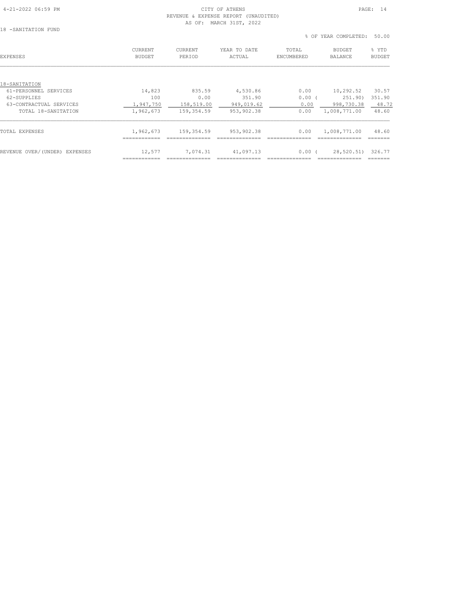# 4-21-2022 06:59 PM CITY OF ATHENS PAGE: 14

| 18 | -SANITATION FUND |  |
|----|------------------|--|

| 18 -SANITATION FUND           | REVENUE & EXPENSE REPORT (UNAUDITED)<br>AS OF: MARCH 31ST, 2022 |                   |                                 |                     |                            |                        |  |  |
|-------------------------------|-----------------------------------------------------------------|-------------------|---------------------------------|---------------------|----------------------------|------------------------|--|--|
|                               |                                                                 |                   |                                 |                     | % OF YEAR COMPLETED: 50.00 |                        |  |  |
| <b>EXPENSES</b>               | CURRENT<br><b>BUDGET</b>                                        | CURRENT<br>PERIOD | YEAR TO DATE<br>ACTUAL          | TOTAL<br>ENCUMBERED | BUDGET<br>BALANCE          | % YTD<br><b>BUDGET</b> |  |  |
| 18-SANITATION                 |                                                                 |                   |                                 |                     |                            |                        |  |  |
| 61-PERSONNEL SERVICES         | 14,823                                                          | 835.59            | 4,530.86                        | 0.00                | 10,292.52                  | 30.57                  |  |  |
| 62-SUPPLIES                   | 100                                                             | 0.00              | 351.90                          | $0.00$ (            | 251.90)                    | 351.90                 |  |  |
| 63-CONTRACTUAL SERVICES       |                                                                 |                   | 1,947,750 158,519.00 949,019.62 | 0.00                | 998,730.38 48.72           |                        |  |  |
| TOTAL 18-SANITATION           | 1,962,673                                                       | 159,354.59        | 953,902.38                      | 0.00                | 1,008,771.00               | 48.60                  |  |  |
| TOTAL EXPENSES                | 1,962,673                                                       | 159,354.59        | 953,902.38                      | 0.00                | 1,008,771.00               | 48.60                  |  |  |
| REVENUE OVER/(UNDER) EXPENSES | 12,577                                                          | 7,074.31          | 41,097.13                       | $0.00$ (            | 28,520.51)                 | 326.77                 |  |  |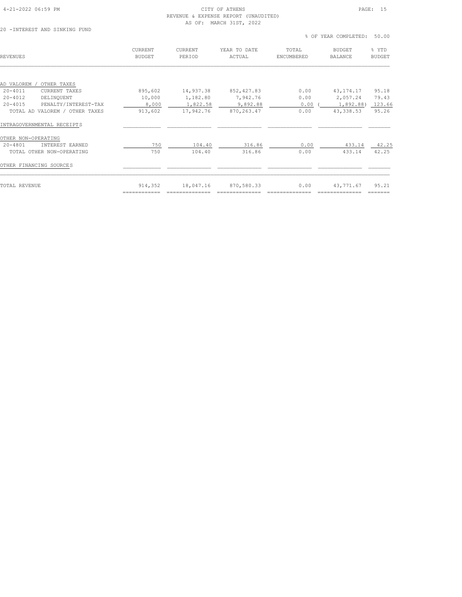#### 4-21-2022 06:59 PM CITY OF ATHENS PAGE: 15 REVENUE & EXPENSE REPORT (UNAUDITED) AS OF: MARCH 31ST, 2022

|                                     |                          |                   |                        |                     | % OF YEAR COMPLETED:            | 50.00                  |
|-------------------------------------|--------------------------|-------------------|------------------------|---------------------|---------------------------------|------------------------|
| REVENUES                            | CURRENT<br><b>BUDGET</b> | CURRENT<br>PERIOD | YEAR TO DATE<br>ACTUAL | TOTAL<br>ENCUMBERED | <b>BUDGET</b><br><b>BALANCE</b> | % YTD<br><b>BUDGET</b> |
| OTHER TAXES<br>AD VALOREM /         |                          |                   |                        |                     |                                 |                        |
| $20 - 4011$<br>CURRENT TAXES        | 895,602                  | 14,937.38         | 852, 427.83            | 0.00                | 43, 174. 17                     | 95.18                  |
| $20 - 4012$<br>DELINQUENT           | 10,000                   | 1,182.80          | 7,942.76               | 0.00                | 2,057.24                        | 79.43                  |
| $20 - 4015$<br>PENALTY/INTEREST-TAX | 8,000                    | 1,822.58          | 9,892.88               | 0.00                | 1,892.88)                       | 123.66                 |
| TOTAL AD VALOREM / OTHER TAXES      | 913,602                  | 17,942.76         | 870, 263.47            | 0.00                | 43,338.53                       | 95.26                  |
| INTRAGOVERNMENTAL RECEIPTS          |                          |                   |                        |                     |                                 |                        |
| OTHER NON-OPERATING                 |                          |                   |                        |                     |                                 |                        |
| $20 - 4801$<br>INTEREST EARNED      | 750                      | 104.40            | 316.86                 | 0.00                | 433.14                          | 42.25                  |
| TOTAL OTHER NON-OPERATING           | 750                      | 104.40            | 316.86                 | 0.00                | 433.14                          | 42.25                  |
| OTHER FINANCING SOURCES             |                          |                   |                        |                     |                                 |                        |
| TOTAL REVENUE                       | 914,352<br>============  | 18,047.16         | 870,580.33             | 0.00                | 43,771.67                       | 95.21<br>_______       |
|                                     |                          |                   |                        |                     |                                 |                        |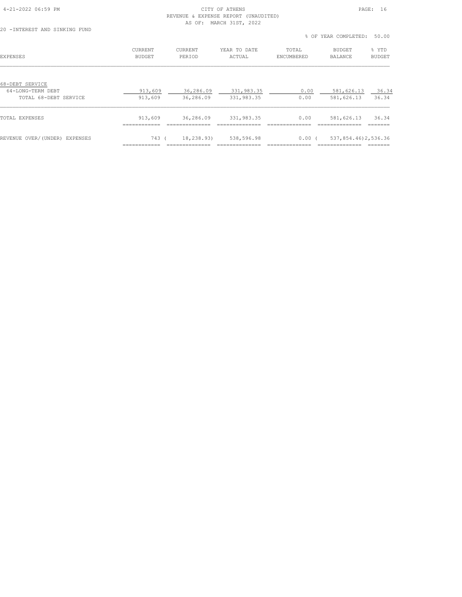#### 4-21-2022 06:59 PM CITY OF ATHENS PAGE: 16 REVENUE & EXPENSE REPORT (UNAUDITED) AS OF: MARCH 31ST, 2022

|                                                               |                                 |                          |                          |                     | % OF YEAR COMPLETED:     | 50.00           |
|---------------------------------------------------------------|---------------------------------|--------------------------|--------------------------|---------------------|--------------------------|-----------------|
| EXPENSES                                                      | <b>CURRENT</b><br><b>BUDGET</b> | <b>CURRENT</b><br>PERIOD | YEAR TO DATE<br>ACTUAL   | TOTAL<br>ENCUMBERED | BUDGET<br><b>BALANCE</b> | % YTD<br>BUDGET |
| 68-DEBT SERVICE<br>64-LONG-TERM DEBT<br>TOTAL 68-DEBT SERVICE | 913,609<br>913,609              | 36,286.09<br>36,286.09   | 331,983.35<br>331,983.35 | 0.00<br>0.00        | 581,626.13<br>581,626.13 | 36.34<br>36.34  |
| TOTAL EXPENSES                                                | 913,609<br>----------           | 36,286.09                | 331,983.35               | 0.00                | 581,626.13               | 36.34           |
| REVENUE OVER/(UNDER) EXPENSES                                 | 743 (                           | 18,238.93)               | 538,596.98               | $0.00$ (            | 537,854,46)2,536.36      |                 |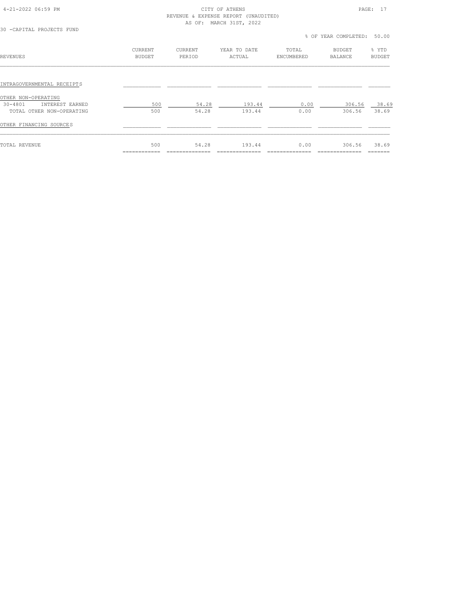#### 4-21-2022 06:59 PM CITY OF ATHENS PAGE: 17 REVENUE & EXPENSE REPORT (UNAUDITED) AS OF: MARCH 31ST, 2022

| 30 -CAPITAL PROJECTS FUND                             | AS OF: MARCH 31ST, 2022  |                   |                        |                     |                            |                        |
|-------------------------------------------------------|--------------------------|-------------------|------------------------|---------------------|----------------------------|------------------------|
|                                                       |                          |                   |                        |                     | % OF YEAR COMPLETED: 50.00 |                        |
| REVENUES                                              | CURRENT<br><b>BUDGET</b> | CURRENT<br>PERIOD | YEAR TO DATE<br>ACTUAL | TOTAL<br>ENCUMBERED | BUDGET<br><b>BALANCE</b>   | % YTD<br><b>BUDGET</b> |
| INTRAGOVERNMENTAL RECEIPTS                            |                          |                   |                        |                     |                            |                        |
| OTHER NON-OPERATING<br>$30 - 4801$<br>INTEREST EARNED | 500                      | 54.28             | 193.44                 | 0.00                | 306.56                     | 38.69                  |
| TOTAL OTHER NON-OPERATING<br>OTHER FINANCING SOURCES  | 500                      | 54.28             | 193.44                 | 0.00                | 306.56                     | 38.69                  |
|                                                       |                          |                   |                        |                     |                            |                        |

TOTAL REVENUE 500 54.28 193.44 0.00 306.56 38.69 ============ ============== ============== ============== ============== =======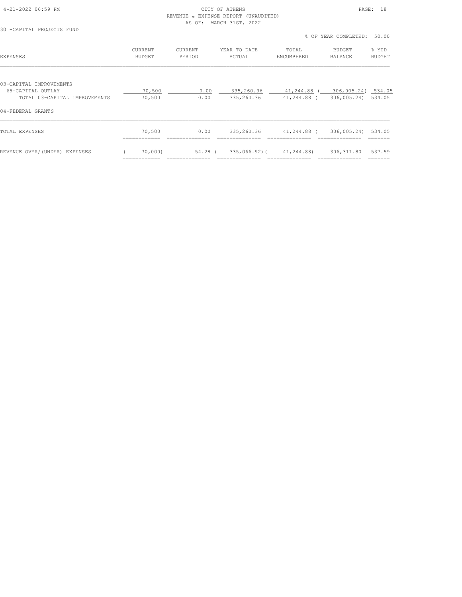#### 4-21-2022 06:59 PM CITY OF ATHENS PAGE: 18 REVENUE & EXPENSE REPORT (UNAUDITED) AS OF: MARCH 31ST, 2022

============ ============== ============== ============== ============== =======

| 30 -CAPITAL PROJECTS FUND                          |                                 |                   |                          | % OF YEAR COMPLETED:       | 50.00                                    |                        |
|----------------------------------------------------|---------------------------------|-------------------|--------------------------|----------------------------|------------------------------------------|------------------------|
| <b>EXPENSES</b>                                    | <b>CURRENT</b><br><b>BUDGET</b> | CURRENT<br>PERIOD | YEAR TO DATE<br>ACTUAL   | TOTAL<br>ENCUMBERED        | <b>BUDGET</b><br><b>BALANCE</b>          | % YTD<br><b>BUDGET</b> |
| 03-CAPITAL IMPROVEMENTS                            |                                 |                   |                          |                            |                                          |                        |
| 65-CAPITAL OUTLAY<br>TOTAL 03-CAPITAL IMPROVEMENTS | 70,500<br>70,500                | 0.00<br>0.00      | 335,260.36<br>335,260.36 | 41,244.88 (<br>41,244.88 ( | 306,005.24) 534.05<br>306,005.24) 534.05 |                        |
| 04-FEDERAL GRANTS                                  |                                 |                   |                          |                            |                                          |                        |
| TOTAL EXPENSES                                     | 70,500                          | 0.00              | 335,260.36               | 41,244.88 (                | 306,005.24)                              | 534.05                 |
| REVENUE OVER/(UNDER) EXPENSES                      | 70,000)                         | 54.28 (           | 335,066.92)(             | 41,244.88)                 | 306, 311.80                              | 537.59                 |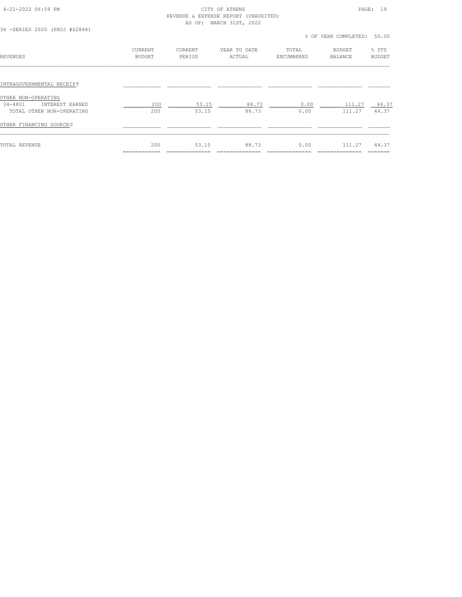#### 4-21-2022 06:59 PM CITY OF ATHENS PAGE: 19 REVENUE & EXPENSE REPORT (UNAUDITED) AS OF: MARCH 31ST, 2022

| 34 - SERIES 2020 (PROJ #62848) |                          |                   |                        | % OF YEAR COMPLETED: 50.00 |                          |                        |  |
|--------------------------------|--------------------------|-------------------|------------------------|----------------------------|--------------------------|------------------------|--|
| <b>REVENUES</b>                | CURRENT<br><b>BUDGET</b> | CURRENT<br>PERIOD | YEAR TO DATE<br>ACTUAL | TOTAL<br>ENCUMBERED        | BUDGET<br><b>BALANCE</b> | % YTD<br><b>BUDGET</b> |  |
| INTRAGOVERNMENTAL RECEIPT      |                          |                   |                        |                            |                          |                        |  |
| OTHER NON-OPERATING            |                          |                   |                        |                            |                          |                        |  |
| 34-4801<br>INTEREST EARNED     | 200                      | 53.15             | 88.73                  | 0.00                       | 111.27                   | 44.37                  |  |
| TOTAL OTHER NON-OPERATING      | 200                      | 53.15             | 88.73                  | 0.00                       | 111.27                   | 44.37                  |  |
| OTHER FINANCING SOURCES        |                          |                   |                        |                            |                          |                        |  |
| TOTAL REVENUE                  | 200                      | 53.15             | 88.73                  | 0.00                       | 111.27                   | 44.37                  |  |
|                                |                          |                   |                        |                            |                          |                        |  |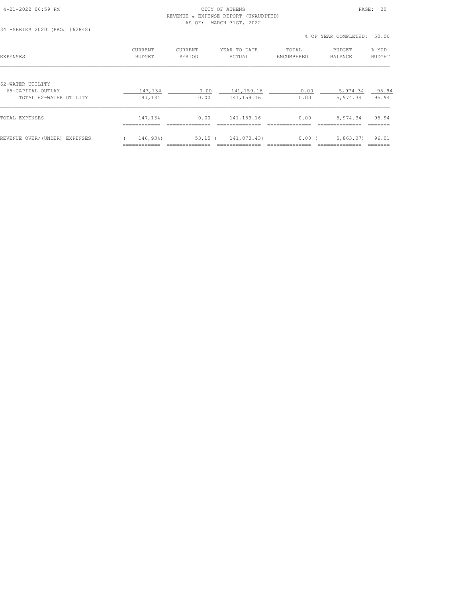#### 4-21-2022 06:59 PM CITY OF ATHENS PAGE: 20 REVENUE & EXPENSE REPORT (UNAUDITED) AS OF: MARCH 31ST, 2022

|                                                                 |                                 |                          |                              |                     | % OF YEAR COMPLETED:            | 50.00                  |
|-----------------------------------------------------------------|---------------------------------|--------------------------|------------------------------|---------------------|---------------------------------|------------------------|
| <b>EXPENSES</b>                                                 | <b>CURRENT</b><br><b>BUDGET</b> | <b>CURRENT</b><br>PERIOD | YEAR TO DATE<br>ACTUAL       | TOTAL<br>ENCUMBERED | <b>BUDGET</b><br><b>BALANCE</b> | % YTD<br><b>BUDGET</b> |
| 62-WATER UTILITY<br>65-CAPITAL OUTLAY<br>TOTAL 62-WATER UTILITY | 147,134<br>147,134              | 0.00<br>0.00             | 141, 159. 16<br>141, 159. 16 | 0.00<br>0.00        | 5,974.34<br>5,974.34            | 95.94<br>95.94         |
| TOTAL EXPENSES                                                  | 147,134<br>----------           | 0.00                     | 141, 159. 16                 | 0.00                | 5,974.34                        | 95.94                  |
| REVENUE OVER/(UNDER) EXPENSES                                   | 146,934)                        | $53.15$ (                | 141,070.43)                  | 0.00(               | 5,863.07)                       | 96.01                  |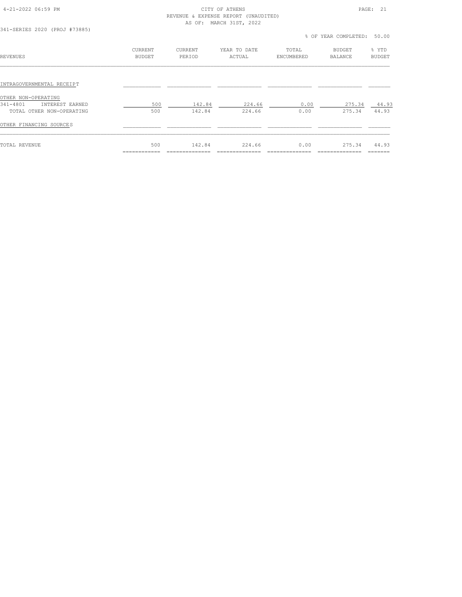#### 4-21-2022 06:59 PM CITY OF ATHENS PAGE: 21 REVENUE & EXPENSE REPORT (UNAUDITED) AS OF: MARCH 31ST, 2022

| 341-SERIES 2020 (PROJ #73885) |                          |                   |                        |                     | % OF YEAR COMPLETED:            | 50.00                  |
|-------------------------------|--------------------------|-------------------|------------------------|---------------------|---------------------------------|------------------------|
| <b>REVENUES</b>               | CURRENT<br><b>BUDGET</b> | CURRENT<br>PERIOD | YEAR TO DATE<br>ACTUAL | TOTAL<br>ENCUMBERED | <b>BUDGET</b><br><b>BALANCE</b> | % YTD<br><b>BUDGET</b> |
| INTRAGOVERNMENTAL RECEIPT     |                          |                   |                        |                     |                                 |                        |
| OTHER NON-OPERATING           |                          |                   |                        |                     |                                 |                        |
| 341-4801<br>INTEREST EARNED   | 500                      | 142.84            | 224.66                 | 0.00                | 275.34                          | 44.93                  |
| TOTAL OTHER NON-OPERATING     | 500                      | 142.84            | 224.66                 | 0.00                | 275.34                          | 44.93                  |
| OTHER FINANCING SOURCES       |                          |                   |                        |                     |                                 |                        |
| <b>TOTAL REVENUE</b>          | 500                      | 142.84            | 224.66                 | 0.00                | 275.34                          | 44.93                  |
|                               |                          |                   |                        |                     |                                 |                        |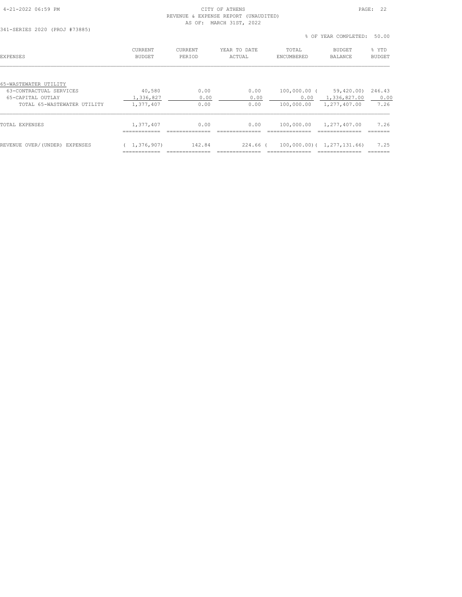## 4-21-2022 06:59 PM CITY OF ATHENS PAGE: 22 REVENUE & EXPENSE REPORT (UNAUDITED)

============ ============== ============== ============== ============== =======

|                               |                          | AS OF: MARCH 31ST, 2022  |                        |                     |                                 |                        |
|-------------------------------|--------------------------|--------------------------|------------------------|---------------------|---------------------------------|------------------------|
| 341-SERIES 2020 (PROJ #73885) |                          |                          |                        |                     | % OF YEAR COMPLETED:            | 50.00                  |
| EXPENSES                      | CURRENT<br><b>BUDGET</b> | <b>CURRENT</b><br>PERIOD | YEAR TO DATE<br>ACTUAL | TOTAL<br>ENCUMBERED | <b>BUDGET</b><br><b>BALANCE</b> | % YTD<br><b>BUDGET</b> |
| 65-WASTEWATER UTILITY         |                          |                          |                        |                     |                                 |                        |
| 63-CONTRACTUAL SERVICES       | 40,580                   | 0.00                     | 0.00                   | 100,000.00 (        | 59,420.00)                      | 246.43                 |
| 65-CAPITAL OUTLAY             | 1,336,827                | 0.00                     | 0.00                   | 0.00                | 1,336,827.00                    | 0.00                   |
| TOTAL 65-WASTEWATER UTILITY   | 1,377,407                | 0.00                     | 0.00                   | 100,000.00          | 1,277,407.00                    | 7.26                   |
| TOTAL EXPENSES                | 1,377,407                | 0.00                     | 0.00                   | 100,000.00          | 1,277,407.00                    | 7.26                   |

REVENUE OVER/(UNDER) EXPENSES ( 1,376,907) 142.84 224.66 ( 100,000.00)( 1,277,131.66) 7.25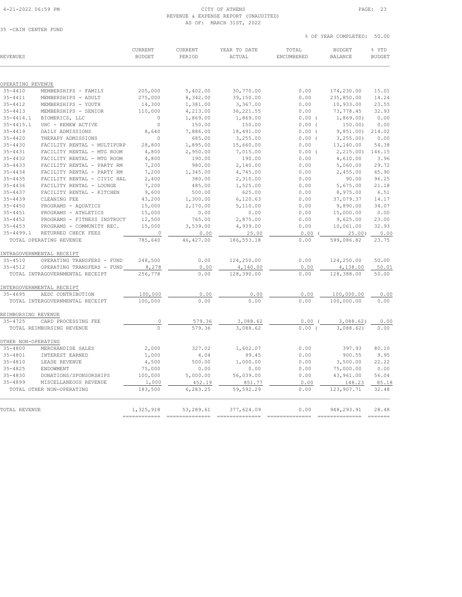### REVENUE & EXPENSE REPORT (UNAUDITED) AS OF: MARCH 31ST, 2022

#### % OF YEAR COMPLETED: 50.00 CURRENT CURRENT YEAR TO DATE TOTAL BUDGET % YTD REVENUES BUDGET PERIOD ACTUAL ENCUMBERED BALANCE BUDGET  $\mathcal{L} = \{ \mathcal{L} = \{ \mathcal{L} = \{ \mathcal{L} = \{ \mathcal{L} = \{ \mathcal{L} = \{ \mathcal{L} = \{ \mathcal{L} = \{ \mathcal{L} = \{ \mathcal{L} = \{ \mathcal{L} = \{ \mathcal{L} = \{ \mathcal{L} = \{ \mathcal{L} = \{ \mathcal{L} = \{ \mathcal{L} = \{ \mathcal{L} = \{ \mathcal{L} = \{ \mathcal{L} = \{ \mathcal{L} = \{ \mathcal{L} = \{ \mathcal{L} = \{ \mathcal{L} = \{ \mathcal{L} = \{ \mathcal{$ OPERATING REVENUE 35-4410 MEMBERSHIPS - FAMILY 205,000 5,402.00 30,770.00 0.00 174,230.00 15.01 35-4411 MEMBERSHIPS - ADULT 275,000 8,342.00 39,150.00 0.00 235,850.00 14.24 35-4412 MEMBERSHIPS - YOUTH 14,300 1,381.00 3,367.00 0.00 10,933.00 23.55 35-4413 MEMBERSHIPS - SENIOR 110,000 4,213.00 36,221.55 0.00 73,778.45 32.93 35-4414.1 BIOMERICS, LLC 0 1,869.00 1,869.00 0.00 ( 1,869.00) 0.00 35-4415.1 UHC - RENEW ACTIVE 0 150.00 150.00 0.00 ( 150.00) 0.00 35-4419 DAILY ADMISSIONS 8,640 7,886.00 18,491.00 0.00 ( 9,851.00) 214.02 35-4420 THERAPY ADMISSIONS 0 685.00 3,255.00 0.00 ( 3,255.00) 0.00 35-4430 FACILITY RENTAL - MULTIPURP 28,800 1,895.00 15,660.00 0.00 13,140.00 54.38 35-4431 FACILITY RENTAL - MTG ROOM 4,800 2,950.00 7,015.00 0.00 ( 2,215.00) 146.15 35-4432 FACILITY RENTAL - MTG ROOM 4,800 190.00 190.00 0.00 4,610.00 3.96 35-4433 FACILITY RENTAL - PARTY RM 7,200 980.00 2,140.00 0.00 5,060.00 29.72 35-4434 FACILITY RENTAL - PARTY RM 7,200 1,345.00 4,745.00 0.00 2,455.00 65.90 35-4435 FACILITY RENTAL - CIVIC HAL 2,400 380.00 2,310.00 0.00 90.00 96.25 35-4436 FACILITY RENTAL - LOUNGE 7,200 485.00 1,525.00 0.00 5,675.00 21.18 35-4437 FACILITY RENTAL - KITCHEN 9,600 500.00 625.00 0.00 8,975.00 6.51 35-4439 CLEANING FEE 43,200 1,300.00 6,120.63 0.00 37,079.37 14.17 35-4450 PROGRAMS - AQUATICS 15,000 2,170.00 5,110.00 0.00 9,890.00 34.07 35-4451 PROGRAMS - ATHLETICS 15,000 0.00 0.00 0.00 15,000.00 0.00 35-4452 PROGRAMS - FITNESS INSTRUCT 12,500 765.00 2,875.00 0.00 9,625.00 23.00 35-4453 PROGRAMS - COMMUNITY REC. 15,000 3,539.00 4,939.00 0.00 10,061.00 32.93 35-4499.1 RETURNED CHECK FEES 0 0.00 25.00 0.00 ( 25.00) 0.00 TOTAL OPERATING REVENUE 785,640 46,427.00 186,553.18 0.00 599,086.82 23.75 INTRAGOVERNMENTAL RECEIPT 35-4510 OPERATING TRANSFERS - FUND 248,500 0.00 124,250.00 0.00 124,250.00 50.00 35-4512 OPERATING TRANSFERS - FUND 8,278 0.00 4,140.00 0.00 4,138.00 50.01 TOTAL INTRAGOVERNMENTAL RECEIPT 256,778 0.00 128,390.00 0.00 128,388.00 50.00 INTERGOVERNMENTAL RECEIPT<br>35-4695 AEDC CONTRIBUTION  $\frac{100,000}{0.00}$  0.00 0.00 0.00 0.00 0.00 0.00

|                     | TOTAL INTERGOVERNMENTAL RECEIPT | 100,000   | 0.00      | 0.00       | 0.00 | 100,000.00  | 0.00  |
|---------------------|---------------------------------|-----------|-----------|------------|------|-------------|-------|
| REIMBURSING REVENUE |                                 |           |           |            |      |             |       |
| $35 - 4725$         | CARD PROCESSING FEE             | 0         | 579.36    | 3,088.62   | 0.00 | 3,088.62)   | 0.00  |
|                     | TOTAL REIMBURSING REVENUE       | $\circ$   | 579.36    | 3.088.62   | 0.00 | 3.088.62    | 0.00  |
| OTHER NON-OPERATING |                                 |           |           |            |      |             |       |
| $35 - 4800$         | MERCHANDISE SALES               | 2,000     | 327.02    | 1,602.07   | 0.00 | 397.93      | 80.10 |
| $35 - 4801$         | INTEREST EARNED                 | 1,000     | 4.04      | 99.45      | 0.00 | 900.55      | 9.95  |
| $35 - 4810$         | LEASE REVENUE                   | 4,500     | 500.00    | 1,000.00   | 0.00 | 3,500.00    | 22.22 |
| $35 - 4825$         | ENDOWMENT                       | 75,000    | 0.00      | 0.00       | 0.00 | 75,000.00   | 0.00  |
| $35 - 4830$         | DONATIONS/SPONSORSHIPS          | 100,000   | 5,000.00  | 56,039.00  | 0.00 | 43,961.00   | 56.04 |
| $35 - 4899$         | MISCELLANEOUS REVENUE           | 1,000     | 452.19    | 851.77     | 0.00 | 148.23      | 85.18 |
|                     | TOTAL OTHER NON-OPERATING       | 183,500   | 6,283.25  | 59,592.29  | 0.00 | 123,907.71  | 32.48 |
| TOTAL REVENUE       |                                 | 1,325,918 | 53,289.61 | 377,624.09 | 0.00 | 948, 293.91 | 28.48 |
|                     |                                 |           |           |            |      |             |       |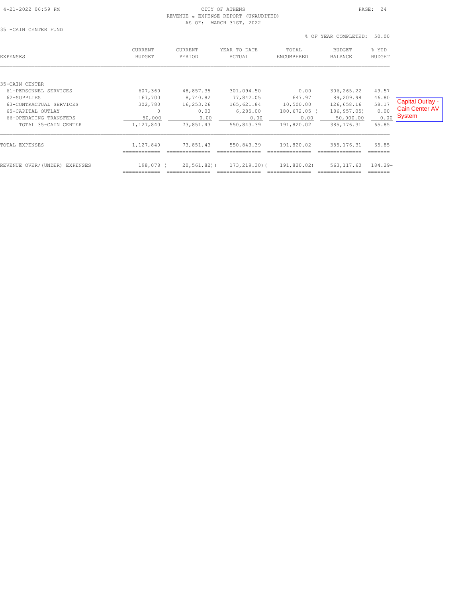### 4-21-2022 06:59 PM CITY OF ATHENS PAGE: 24 REVENUE & EXPENSE REPORT (UNAUDITED) AS OF: MARCH 31ST, 2022

| 35 -CAIN CENTER FUND                                        |                                 |                               |                                     | % OF YEAR COMPLETED:<br>50.00       |                                         |                        |                                           |
|-------------------------------------------------------------|---------------------------------|-------------------------------|-------------------------------------|-------------------------------------|-----------------------------------------|------------------------|-------------------------------------------|
| <b>EXPENSES</b>                                             | <b>CURRENT</b><br><b>BUDGET</b> | CURRENT<br>PERIOD             | YEAR TO DATE<br>ACTUAL              | TOTAL<br>ENCUMBERED                 | <b>BUDGET</b><br><b>BALANCE</b>         | % YTD<br>BUDGET        |                                           |
| 35-CAIN CENTER<br>61-PERSONNEL SERVICES                     | 607,360                         | 48,857.35                     | 301,094.50                          | 0.00                                | 306, 265.22                             | 49.57                  |                                           |
| 62-SUPPLIES<br>63-CONTRACTUAL SERVICES<br>65-CAPITAL OUTLAY | 167,700<br>302,780<br>$\Omega$  | 8,740.82<br>16,253.26<br>0.00 | 77,842.05<br>165,621.84<br>6,285.00 | 647.97<br>10,500.00<br>180,672.05 ( | 89,209.98<br>126,658.16<br>186, 957.05) | 46.80<br>58.17<br>0.00 | Capital Outlay -<br><b>Cain Center AV</b> |
| 66-OPERATING TRANSFERS<br>TOTAL 35-CAIN CENTER              | 50,000<br>1,127,840             | 0.00<br>73,851.43             | 0.00<br>550,843.39                  | 0.00<br>191,820.02                  | 50,000.00<br>385, 176.31                | 0.00<br>65.85          | System                                    |
| TOTAL EXPENSES                                              | 1,127,840                       | 73,851.43                     | 550,843.39                          | 191,820.02                          | 385, 176.31                             | 65.85<br>=======       |                                           |
| REVENUE OVER/(UNDER) EXPENSES                               | 198,078 (                       | 20,561.82)(                   | 173,219.30)(                        | 191,820.02)                         | 563,117.60                              | 184.29-                |                                           |

============ ============== ============== ============== ============== =======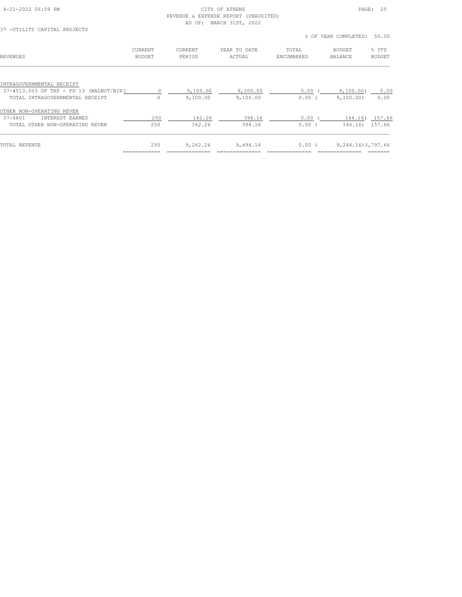#### 4-21-2022 06:59 PM CITY OF ATHENS PAGE: 25 REVENUE & EXPENSE REPORT (UNAUDITED) AS OF: MARCH 31ST, 2022

|                                         |                                 |                          |                        |                     | % OF YEAR COMPLETED:            | 50.00                  |
|-----------------------------------------|---------------------------------|--------------------------|------------------------|---------------------|---------------------------------|------------------------|
| <b>REVENUES</b>                         | <b>CURRENT</b><br><b>BUDGET</b> | <b>CURRENT</b><br>PERIOD | YEAR TO DATE<br>ACTUAL | TOTAL<br>ENCUMBERED | <b>BUDGET</b><br><b>BALANCE</b> | % YTD<br><b>BUDGET</b> |
|                                         |                                 |                          |                        |                     |                                 |                        |
| INTRAGOVERNMENTAL RECEIPT               |                                 |                          |                        |                     |                                 |                        |
| 37-4513.003 OP TRF - FD 13 (WALNUT/BIRC | $\circ$                         | 9,100.00                 | 9,100.00               | 0.00                | 9,100.00)                       | 0.00                   |
| TOTAL INTRAGOVERNMENTAL RECEIPT         | $\circ$                         | 9,100.00                 | 9,100.00               | 0.00                | 9,100.00)                       | 0.00                   |
| OTHER NON-OPERATING REVEN               |                                 |                          |                        |                     |                                 |                        |
| $37 - 4801$<br>INTEREST EARNED          | 250                             | 162.26                   | 394.16                 | 0.00                | 144.16)                         | 157.66                 |
| TOTAL OTHER NON-OPERATING REVEN         | 250                             | 162.26                   | 394.16                 | 0.00                | 144.16)                         | 157.66                 |
| TOTAL REVENUE                           | 250                             | 9,262.26                 | 9,494.16               | $0.00$ (            | 9, 244, 16) 3, 797, 66          |                        |
|                                         |                                 |                          |                        |                     |                                 |                        |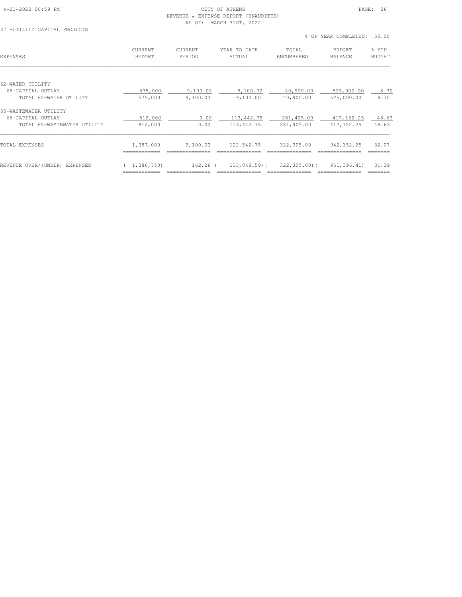## 4-21-2022 06:59 PM CITY OF ATHENS PAGE: 26 (UNAUDITED)<br>, 2022

| REVENUE & EXPENSE REPORT (UNAU |  |  |                         |
|--------------------------------|--|--|-------------------------|
|                                |  |  | AS OF: MARCH 31ST, 2022 |

37 -UTILITY CAPITAL PROJECTS

|                               |                                 |                   |                        |                     | % OF YEAR COMPLETED:     | 50.00                  |
|-------------------------------|---------------------------------|-------------------|------------------------|---------------------|--------------------------|------------------------|
| <b>EXPENSES</b>               | <b>CURRENT</b><br><b>BUDGET</b> | CURRENT<br>PERIOD | YEAR TO DATE<br>ACTUAL | TOTAL<br>ENCUMBERED | BUDGET<br><b>BALANCE</b> | % YTD<br><b>BUDGET</b> |
| 62-WATER UTILITY              |                                 |                   |                        |                     |                          |                        |
| 65-CAPITAL OUTLAY             | 575,000                         | 9,100.00          | 9,100.00               | 40,900.00           | 525,000.00               | 8.70                   |
| TOTAL 62-WATER UTILITY        | 575,000                         | 9,100.00          | 9,100.00               | 40,900.00           | 525,000.00               | 8.70                   |
| 65-WASTEWATER UTILITY         |                                 |                   |                        |                     |                          |                        |
| 65-CAPITAL OUTLAY             | 812,000                         | 0.00              | 113,442.75             | 281,405.00          | 417, 152.25              | 48.63                  |
| TOTAL 65-WASTEWATER UTILITY   | 812,000                         | 0.00              | 113,442.75             | 281,405.00          | 417,152.25               | 48.63                  |
| TOTAL EXPENSES                | 1,387,000                       | 9,100.00          | 122,542.75             | 322,305.00          | 942, 152. 25             | 32.07                  |
| REVENUE OVER/(UNDER) EXPENSES | (1, 386, 750)                   | 162.26 (          | 113,048.59)(           | $322, 305, 00$ (    | 951,396.41)              | 31.39                  |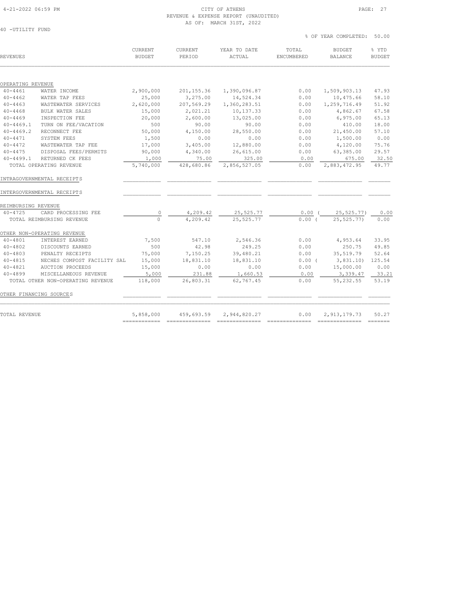#### 4-21-2022 06:59 PM CITY OF ATHENS PAGE: 27 REVENUE & EXPENSE REPORT (UNAUDITED) AS OF: MARCH 31ST, 2022

| REVENUES                |                                                          | CURRENT<br><b>BUDGET</b> | CURRENT<br>PERIOD           | YEAR TO DATE<br>ACTUAL | TOTAL<br>ENCUMBERED | <b>BUDGET</b><br><b>BALANCE</b> | % YTD<br><b>BUDGET</b> |
|-------------------------|----------------------------------------------------------|--------------------------|-----------------------------|------------------------|---------------------|---------------------------------|------------------------|
| OPERATING REVENUE       |                                                          |                          |                             |                        |                     |                                 |                        |
| $40 - 4461$             | WATER INCOME                                             | 2,900,000                | 201, 155.36                 | 1,390,096.87           | 0.00                | 1,509,903.13                    | 47.93                  |
| $40 - 4462$             | WATER TAP FEES                                           | 25,000                   | 3,275.00                    | 14,524.34              | 0.00                | 10,475.66                       | 58.10                  |
| $40 - 4463$             | WASTEWATER SERVICES                                      | 2,620,000                | 207,569.29                  | 1,360,283.51           | 0.00                | 1,259,716.49                    | 51.92                  |
| $40 - 4468$             | BULK WATER SALES                                         | 15,000                   | 2,021.21                    | 10,137.33              | 0.00                | 4,862.67                        | 67.58                  |
| $40 - 4469$             | INSPECTION FEE                                           | 20,000                   | 2,600.00                    | 13,025.00              | 0.00                | 6,975.00                        | 65.13                  |
| $40 - 4469.1$           | TURN ON FEE/VACATION                                     | 500                      | 90.00                       | 90.00                  | 0.00                | 410.00                          | 18.00                  |
| $40 - 4469.2$           | RECONNECT FEE                                            | 50,000                   | 4,150.00                    | 28,550.00              | 0.00                | 21,450.00                       | 57.10                  |
| $40 - 4471$             | SYSTEM FEES                                              | 1,500                    | 0.00                        | 0.00                   | 0.00                | 1,500.00                        | 0.00                   |
| $40 - 4472$             | WASTEWATER TAP FEE                                       | 17,000                   | 3,405.00                    | 12,880.00              | 0.00                | 4,120.00                        | 75.76                  |
| $40 - 4475$             | DISPOSAL FEES/PERMITS                                    | 90,000                   | 4,340.00                    | 26,615.00              | 0.00                | 63,385.00                       | 29.57                  |
| $40 - 4499.1$           | RETURNED CK FEES                                         | 1,000                    | 75.00                       | 325.00                 | 0.00                | 675.00                          | 32.50                  |
|                         | TOTAL OPERATING REVENUE                                  | 5,740,000                | 428,680.86                  | 2,856,527.05           | 0.00                | 2,883,472.95                    | 49.77                  |
|                         | INTRAGOVERNMENTAL RECEIPTS<br>INTERGOVERNMENTAL RECEIPTS |                          |                             |                        |                     |                                 |                        |
| REIMBURSING REVENUE     |                                                          |                          |                             |                        |                     |                                 |                        |
| $40 - 4725$             | CARD PROCESSING FEE                                      | 0                        | $\frac{4,209.42}{4,209.42}$ | 25, 525.77             | $0.00$ (            | 25, 525.77)                     | 0.00                   |
|                         | TOTAL REIMBURSING REVENUE                                | $\overline{0}$           |                             | 25, 525.77             | 0.00(               | 25,525.77)                      | 0.00                   |
|                         | OTHER NON-OPERATING REVENUE                              |                          |                             |                        |                     |                                 |                        |
| $40 - 4801$             | INTEREST EARNED                                          | 7,500                    | 547.10                      | 2,546.36               | 0.00                | 4,953.64                        | 33.95                  |
| $40 - 4802$             | DISCOUNTS EARNED                                         | 500                      | 42.98                       | 249.25                 | 0.00                | 250.75                          | 49.85                  |
| $40 - 4803$             | PENALTY RECEIPTS                                         | 75,000                   | 7,150.25                    | 39,480.21              | 0.00                | 35, 519.79                      | 52.64                  |
| $40 - 4815$             | NECHES COMPOST FACILITY SAL                              | 15,000                   | 18,831.10                   | 18,831.10              | $0.00$ (            | 3,831.10)                       | 125.54                 |
| $40 - 4821$             | <b>AUCTION PROCEEDS</b>                                  | 15,000                   | 0.00                        | 0.00                   | 0.00                | 15,000.00                       | 0.00                   |
| $40 - 4899$             | MISCELLANEOUS REVENUE                                    | 5,000                    | 231.88                      | 1,660.53               | 0.00                | 3,339.47                        | 33.21                  |
|                         | TOTAL OTHER NON-OPERATING REVENUE                        | 118,000                  | 26,803.31                   | 62,767.45              | 0.00                | 55, 232.55                      | 53.19                  |
| OTHER FINANCING SOURCES |                                                          |                          |                             |                        |                     |                                 |                        |
| TOTAL REVENUE           |                                                          | 5,858,000                | 459,693.59                  | 2,944,820.27           | 0.00                | 2, 913, 179. 73                 | 50.27                  |

============ ============== ============== ============== ============== =======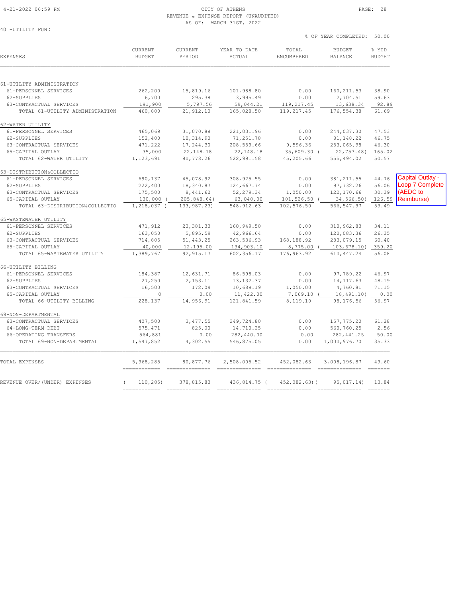69-NON-DEPARTMENTAL<br>63-CONTRACTUAL SERVICES

# 4-21-2022 06:59 PM CITY OF ATHENS PAGE: 28

| REVENUE & EXPENSE REPORT (UNAUDITED)<br>AS OF: MARCH 31ST, 2022 |                                 |                                 |                                     |                            |                                      |                         |                  |  |  |  |
|-----------------------------------------------------------------|---------------------------------|---------------------------------|-------------------------------------|----------------------------|--------------------------------------|-------------------------|------------------|--|--|--|
| 40 -UTILITY FUND                                                |                                 |                                 |                                     |                            | % OF YEAR COMPLETED: 50.00           |                         |                  |  |  |  |
| <b>EXPENSES</b>                                                 | <b>CURRENT</b><br><b>BUDGET</b> | CURRENT<br>PERIOD               | YEAR TO DATE<br>ACTUAL              | TOTAL<br><b>ENCUMBERED</b> | <b>BUDGET</b><br><b>BALANCE</b>      | % YTD<br><b>BUDGET</b>  |                  |  |  |  |
| 61-UTILITY ADMINISTRATION                                       |                                 |                                 |                                     |                            |                                      |                         |                  |  |  |  |
| 61-PERSONNEL SERVICES<br>62-SUPPLIES<br>63-CONTRACTUAL SERVICES | 262,200<br>6,700<br>191,900     | 15,819.16<br>295.38<br>5,797.56 | 101,988.80<br>3,995.49<br>59,044.21 | 0.00<br>0.00<br>119,217.45 | 160, 211.53<br>2,704.51<br>13,638.34 | 38.90<br>59.63<br>92.89 |                  |  |  |  |
| TOTAL 61-UTILITY ADMINISTRATION                                 | 460,800                         | 21,912.10                       | 165,028.50                          | 119,217.45                 | 176,554.38                           | 61.69                   |                  |  |  |  |
| 62-WATER UTILITY                                                |                                 |                                 |                                     |                            |                                      |                         |                  |  |  |  |
| 61-PERSONNEL SERVICES                                           | 465,069                         | 31,070.88                       | 221,031.96                          | 0.00                       | 244,037.30                           | 47.53                   |                  |  |  |  |
| 62-SUPPLIES                                                     | 152,400                         | 10,314.90                       | 71,251.78                           | 0.00                       | 81, 148.22                           | 46.75                   |                  |  |  |  |
| 63-CONTRACTUAL SERVICES                                         | 471,222                         | 17,244.30                       | 208,559.66                          | 9,596.36                   | 253,065.98                           | 46.30                   |                  |  |  |  |
| 65-CAPITAL OUTLAY                                               | 35,000                          | 22, 148.18                      | 22, 148.18                          |                            | 35,609.30 (22,757.48) 165.02         |                         |                  |  |  |  |
| TOTAL 62-WATER UTILITY                                          | 1,123,691                       | 80,778.26                       | 522,991.58                          | 45,205.66                  | 555,494.02                           | 50.57                   |                  |  |  |  |
| 63-DISTRIBUTION&COLLECTIO                                       |                                 |                                 |                                     |                            |                                      |                         |                  |  |  |  |
| 61-PERSONNEL SERVICES                                           | 690,137                         | 45,078.92                       | 308, 925.55                         | 0.00                       | 381, 211.55                          | 44.76                   | Capital Outlay - |  |  |  |
| 62-SUPPLIES                                                     | 222,400                         | 18,340.87                       | 124,667.74                          | 0.00                       | 97,732.26                            | 56.06                   | Loop 7 Complete  |  |  |  |
| 63-CONTRACTUAL SERVICES                                         | 175,500                         | 8,441.62                        | 52,279.34                           | 1,050.00                   | 122,170.66                           | 30.39                   | (AEDC to         |  |  |  |
| 65-CAPITAL OUTLAY                                               | 130,000                         | 205,848.64)                     | 63,040.00                           | 101,526.50 (               | 34,566.50) 126.59                    |                         | Reimburse)       |  |  |  |
| TOTAL 63-DISTRIBUTION&COLLECTIO                                 | 1,218,037 (                     | 133,987.23)                     | 548, 912.63                         | 102,576.50                 | 566,547.97                           | 53.49                   |                  |  |  |  |
| 65-WASTEWATER UTILITY                                           |                                 |                                 |                                     |                            |                                      |                         |                  |  |  |  |
| 61-PERSONNEL SERVICES                                           | 471,912                         | 23,381.33                       | 160,949.50                          | 0.00                       | 310,962.83                           | 34.11                   |                  |  |  |  |
| 62-SUPPLIES                                                     | 163,050                         | 5,895.59                        | 42,966.64                           | 0.00                       | 120,083.36                           | 26.35                   |                  |  |  |  |
| 63-CONTRACTUAL SERVICES                                         | 714,805                         | 51,443.25                       | 263,536.93                          | 168,188.92                 | 283,079.15                           | 60.40                   |                  |  |  |  |
| 65-CAPITAL OUTLAY                                               | 40,000                          | 12,195.00                       | 134,903.10                          | 8,775.00 (                 | 103,678.10) 359.20                   |                         |                  |  |  |  |
| TOTAL 65-WASTEWATER UTILITY                                     | 1,389,767                       | 92, 915.17                      | 602,356.17                          | 176,963.92                 | 610, 447.24                          | 56.08                   |                  |  |  |  |
| 66-UTILITY BILLING                                              |                                 |                                 |                                     |                            |                                      |                         |                  |  |  |  |
| 61-PERSONNEL SERVICES                                           | 184,387                         | 12,631.71                       | 86,598.03                           | 0.00                       | 97,789.22                            | 46.97                   |                  |  |  |  |
| 62-SUPPLIES                                                     | 27,250                          | 2, 153.11                       | 13, 132.37                          | 0.00                       | 14, 117.63                           | 48.19                   |                  |  |  |  |
| 63-CONTRACTUAL SERVICES                                         | 16,500                          | 172.09                          | 10,689.19                           | 1,050.00                   | 4,760.81                             | 71.15                   |                  |  |  |  |
| 65-CAPITAL OUTLAY                                               | $\Omega$                        | 0.00                            | 11,422.00                           | $7.069.10$ (               | 18,491.10)                           | 0.00                    |                  |  |  |  |

TOTAL 66-UTILITY BILLING 228,137 14,956.91 121,841.59 8,119.10 98,176.56 56.97

 63-CONTRACTUAL SERVICES 407,500 3,477.55 249,724.80 0.00 157,775.20 61.28 64-LONG-TERM DEBT 575,471 825.00 14,710.25 0.00 560,760.25 2.56 66-OPERATING TRANSFERS 564,881 0.00 282,440.00 0.00 282,441.25 50.00 TOTAL 69-NON-DEPARTMENTAL 1,547,852 4,302.55 546,875.05 0.00 1,000,976.70 35.33  $\mathcal{L}_\text{max} = \mathcal{L}_\text{max} = \mathcal{L}_\text{max} = \mathcal{L}_\text{max} = \mathcal{L}_\text{max} = \mathcal{L}_\text{max} = \mathcal{L}_\text{max} = \mathcal{L}_\text{max} = \mathcal{L}_\text{max} = \mathcal{L}_\text{max} = \mathcal{L}_\text{max} = \mathcal{L}_\text{max} = \mathcal{L}_\text{max} = \mathcal{L}_\text{max} = \mathcal{L}_\text{max} = \mathcal{L}_\text{max} = \mathcal{L}_\text{max} = \mathcal{L}_\text{max} = \mathcal{$ TOTAL EXPENSES 5,968,285 80,877.76 2,508,005.52 452,082.63 3,008,196.87 49.60

REVENUE OVER/(UNDER) EXPENSES ( 110,285) 378,815.83 436,814.75 ( 452,082.63)( 95,017.14) 13.84 ============ ============== ============== ============== ============== =======

============ ============== ============== ============== ============== =======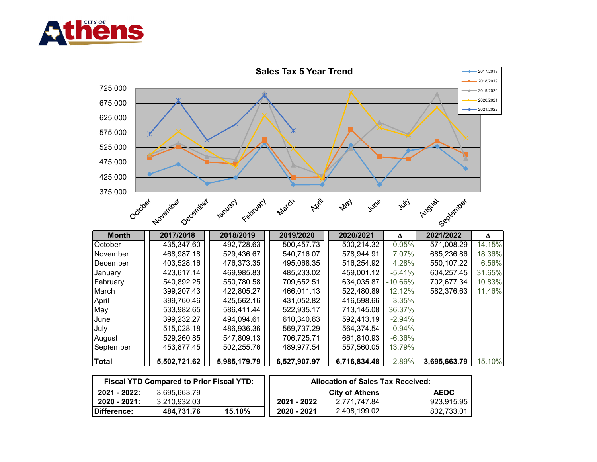



|              | <b>Fiscal YTD Compared to Prior Fiscal YTD:</b> |        | <b>Allocation of Sales Tax Received:</b> |                       |             |  |
|--------------|-------------------------------------------------|--------|------------------------------------------|-----------------------|-------------|--|
| 2021 - 2022: | 3.695.663.79                                    |        |                                          | <b>City of Athens</b> | <b>AEDC</b> |  |
| 2020 - 2021: | 3.210.932.03                                    |        | 2021 - 2022                              | 2.771.747.84          | 923,915.95  |  |
| Difference:  | 484.731.76                                      | 15.10% | 2020 - 2021                              | 2,408,199.02          | 802,733.01  |  |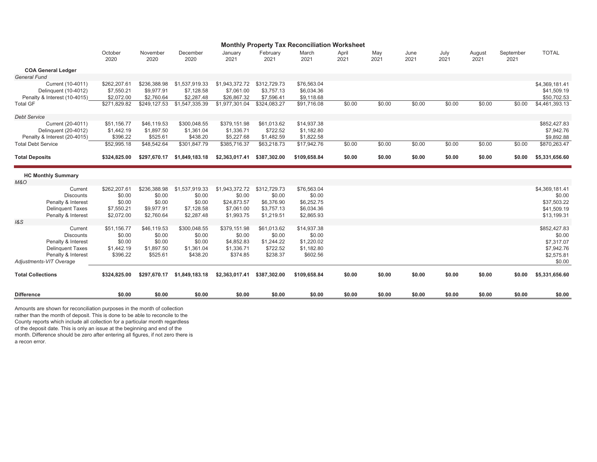|                                                      | <b>Monthly Property Tax Reconciliation Worksheet</b> |                          |                          |                           |                          |                          |               |             |              |              |                |                   |                            |
|------------------------------------------------------|------------------------------------------------------|--------------------------|--------------------------|---------------------------|--------------------------|--------------------------|---------------|-------------|--------------|--------------|----------------|-------------------|----------------------------|
|                                                      | October<br>2020                                      | November<br>2020         | December<br>2020         | January<br>2021           | February<br>2021         | March<br>2021            | April<br>2021 | May<br>2021 | June<br>2021 | July<br>2021 | August<br>2021 | September<br>2021 | <b>TOTAL</b>               |
| <b>COA General Ledger</b>                            |                                                      |                          |                          |                           |                          |                          |               |             |              |              |                |                   |                            |
| <b>General Fund</b>                                  |                                                      |                          |                          |                           |                          |                          |               |             |              |              |                |                   |                            |
| Current (10-4011)                                    | \$262,207.61                                         | \$236,388.98             | \$1,537,919.33           | \$1,943,372.72            | \$312,729.73             | \$76,563.04              |               |             |              |              |                |                   | \$4,369,181.41             |
| Delinquent (10-4012)<br>Penalty & Interest (10-4015) | \$7,550.21<br>\$2,072.00                             | \$9,977.91<br>\$2.760.64 | \$7,128.58<br>\$2,287.48 | \$7,061.00<br>\$26,867.32 | \$3,757.13<br>\$7,596.41 | \$6,034.36<br>\$9,118.68 |               |             |              |              |                |                   | \$41,509.19<br>\$50,702.53 |
| <b>Total GF</b>                                      | \$271,829.82                                         | \$249,127.53             | \$1,547,335.39           | \$1,977,301.04            | \$324,083.27             | \$91,716.08              | \$0.00        | \$0.00      | \$0.00       | \$0.00       | \$0.00         | \$0.00            | \$4,461,393.13             |
| <b>Debt Service</b>                                  |                                                      |                          |                          |                           |                          |                          |               |             |              |              |                |                   |                            |
| Current (20-4011)                                    | \$51,156.77                                          | \$46,119.53              | \$300,048.55             | \$379,151.98              | \$61,013.62              | \$14,937.38              |               |             |              |              |                |                   | \$852,427.83               |
| Delinquent (20-4012)                                 | \$1,442.19                                           | \$1,897.50               | \$1,361.04               | \$1,336.71                | \$722.52                 | \$1,182.80               |               |             |              |              |                |                   | \$7,942.76                 |
| Penalty & Interest (20-4015)                         | \$396.22                                             | \$525.61                 | \$438.20                 | \$5,227.68                | \$1,482.59               | \$1,822.58               |               |             |              |              |                |                   | \$9,892.88                 |
| <b>Total Debt Service</b>                            | \$52,995.18                                          | \$48,542.64              | \$301,847.79             | \$385,716.37              | \$63,218.73              | \$17,942.76              | \$0.00        | \$0.00      | \$0.00       | \$0.00       | \$0.00         | \$0.00            | \$870,263.47               |
| <b>Total Deposits</b>                                | \$324,825.00                                         | \$297,670.17             | \$1,849,183.18           | \$2,363,017.41            | \$387,302.00             | \$109,658.84             | \$0.00        | \$0.00      | \$0.00       | \$0.00       | \$0.00         | \$0.00            | \$5,331,656.60             |
| <b>HC Monthly Summary</b>                            |                                                      |                          |                          |                           |                          |                          |               |             |              |              |                |                   |                            |
| <b>M&amp;O</b>                                       |                                                      |                          |                          |                           |                          |                          |               |             |              |              |                |                   |                            |
| Current                                              | \$262,207.61                                         | \$236,388.98             | \$1,537,919.33           | \$1,943,372.72            | \$312,729.73             | \$76,563.04              |               |             |              |              |                |                   | \$4,369,181.41             |
| <b>Discounts</b>                                     | \$0.00                                               | \$0.00                   | \$0.00                   | \$0.00                    | \$0.00                   | \$0.00                   |               |             |              |              |                |                   | \$0.00                     |
| Penalty & Interest                                   | \$0.00                                               | \$0.00                   | \$0.00                   | \$24,873.57               | \$6,376.90               | \$6,252.75               |               |             |              |              |                |                   | \$37,503.22                |
| <b>Delinquent Taxes</b><br>Penalty & Interest        | \$7,550.21<br>\$2,072.00                             | \$9,977.91<br>\$2,760.64 | \$7,128.58<br>\$2,287.48 | \$7,061.00<br>\$1,993.75  | \$3,757.13<br>\$1,219.51 | \$6,034.36<br>\$2,865.93 |               |             |              |              |                |                   | \$41,509.19<br>\$13,199.31 |
| 1&S                                                  |                                                      |                          |                          |                           |                          |                          |               |             |              |              |                |                   |                            |
| Current                                              | \$51,156.77                                          | \$46,119.53              | \$300,048.55             | \$379,151.98              | \$61,013.62              | \$14,937.38              |               |             |              |              |                |                   | \$852,427.83               |
| <b>Discounts</b>                                     | \$0.00                                               | \$0.00                   | \$0.00                   | \$0.00                    | \$0.00                   | \$0.00                   |               |             |              |              |                |                   | \$0.00                     |
| Penalty & Interest                                   | \$0.00                                               | \$0.00                   | \$0.00                   | \$4,852.83                | \$1,244.22               | \$1,220.02               |               |             |              |              |                |                   | \$7,317.07                 |
| <b>Delinquent Taxes</b>                              | \$1,442.19                                           | \$1,897.50               | \$1,361.04               | \$1,336.71                | \$722.52                 | \$1,182.80               |               |             |              |              |                |                   | \$7,942.76                 |
| Penalty & Interest<br>Adjustments-VIT Overage        | \$396.22                                             | \$525.61                 | \$438.20                 | \$374.85                  | \$238.37                 | \$602.56                 |               |             |              |              |                |                   | \$2,575.81<br>\$0.00       |
| <b>Total Collections</b>                             | \$324,825.00                                         | \$297,670.17             | \$1,849,183.18           | \$2,363,017.41            | \$387,302.00             | \$109,658.84             | \$0.00        | \$0.00      | \$0.00       | \$0.00       | \$0.00         | \$0.00            | \$5,331,656.60             |
| <b>Difference</b>                                    | \$0.00                                               | \$0.00                   | \$0.00                   | \$0.00                    | \$0.00                   | \$0.00                   | \$0.00        | \$0.00      | \$0.00       | \$0.00       | \$0.00         | \$0.00            | \$0.00                     |
|                                                      |                                                      |                          |                          |                           |                          |                          |               |             |              |              |                |                   |                            |

a recon error. month. Difference should be zero after entering all figures, if not zero there is Amounts are shown for reconciliation purposes in the month of collection rather than the month of deposit. This is done to be able to reconcile to the County reports which include all collection for a particular month regardless of the deposit date. This is only an issue at the beginning and end of the